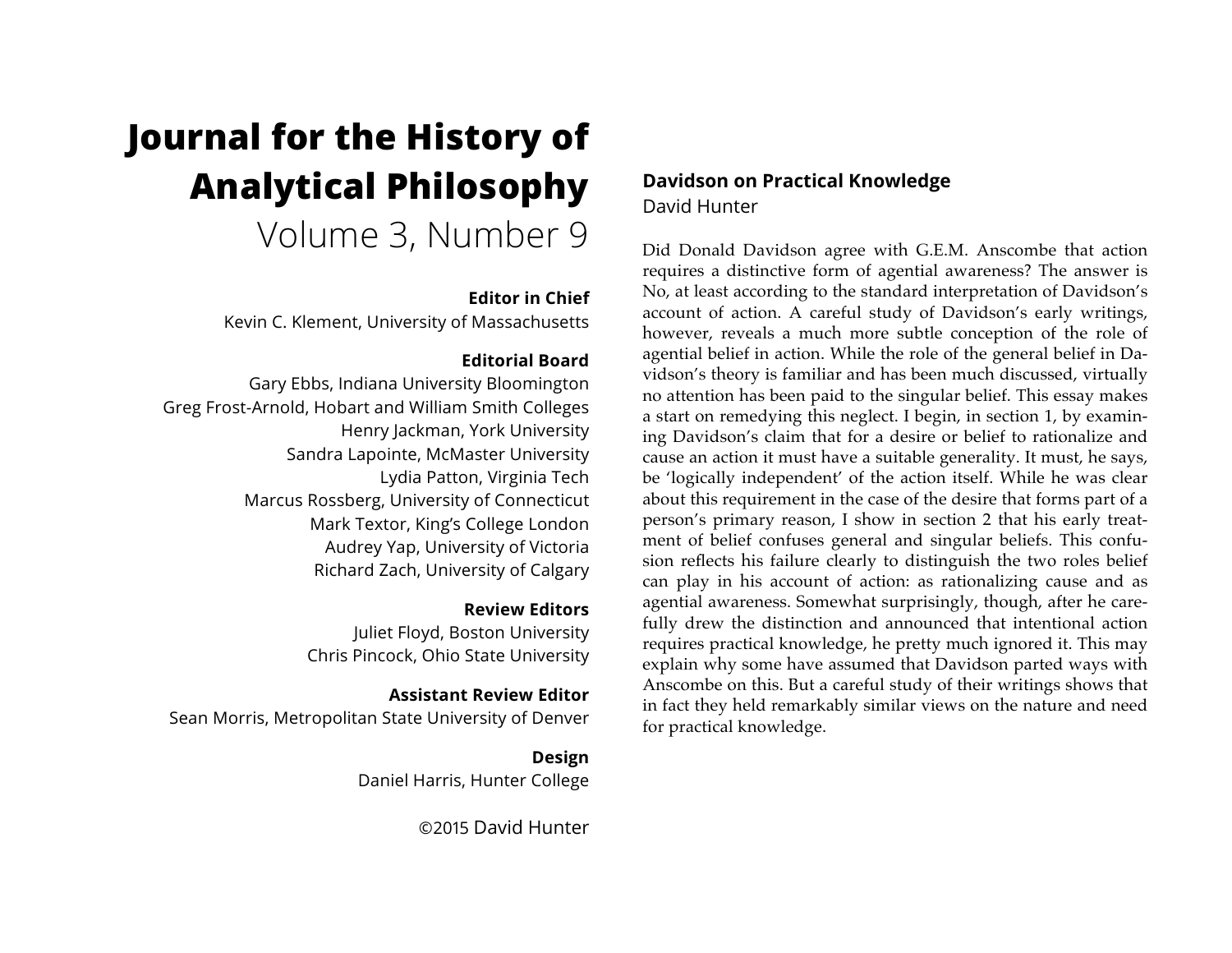# **Journal for the History of Analytical Philosophy**

Volume 3, Number 9

## **Editor in Chief**

Kevin C. Klement, University of Massachusetts

## **Editorial Board**

Gary Ebbs, Indiana University Bloomington Greg Frost-Arnold, Hobart and William Smith Colleges Henry Jackman, York University Sandra Lapointe, McMaster University Lydia Patton, Virginia Tech Marcus Rossberg, University of Connecticut Mark Textor, King's College London Audrey Yap, University of Victoria Richard Zach, University of Calgary

## **Review Editors**

Juliet Floyd, Boston University Chris Pincock, Ohio State University

## **Assistant Review Editor** Sean Morris, Metropolitan State University of Denver

**Design** Daniel Harris, Hunter College

©2015 David Hunter

# **Davidson on Practical Knowledge**  David Hunter

Did Donald Davidson agree with G.E.M. Anscombe that action requires a distinctive form of agential awareness? The answer is No, at least according to the standard interpretation of Davidson's account of action. A careful study of Davidson's early writings, however, reveals a much more subtle conception of the role of agential belief in action. While the role of the general belief in Davidson's theory is familiar and has been much discussed, virtually no attention has been paid to the singular belief. This essay makes a start on remedying this neglect. I begin, in section 1, by examining Davidson's claim that for a desire or belief to rationalize and cause an action it must have a suitable generality. It must, he says, be 'logically independent' of the action itself. While he was clear about this requirement in the case of the desire that forms part of a person's primary reason, I show in section 2 that his early treatment of belief confuses general and singular beliefs. This confusion reflects his failure clearly to distinguish the two roles belief can play in his account of action: as rationalizing cause and as agential awareness. Somewhat surprisingly, though, after he carefully drew the distinction and announced that intentional action requires practical knowledge, he pretty much ignored it. This may explain why some have assumed that Davidson parted ways with Anscombe on this. But a careful study of their writings shows that in fact they held remarkably similar views on the nature and need for practical knowledge.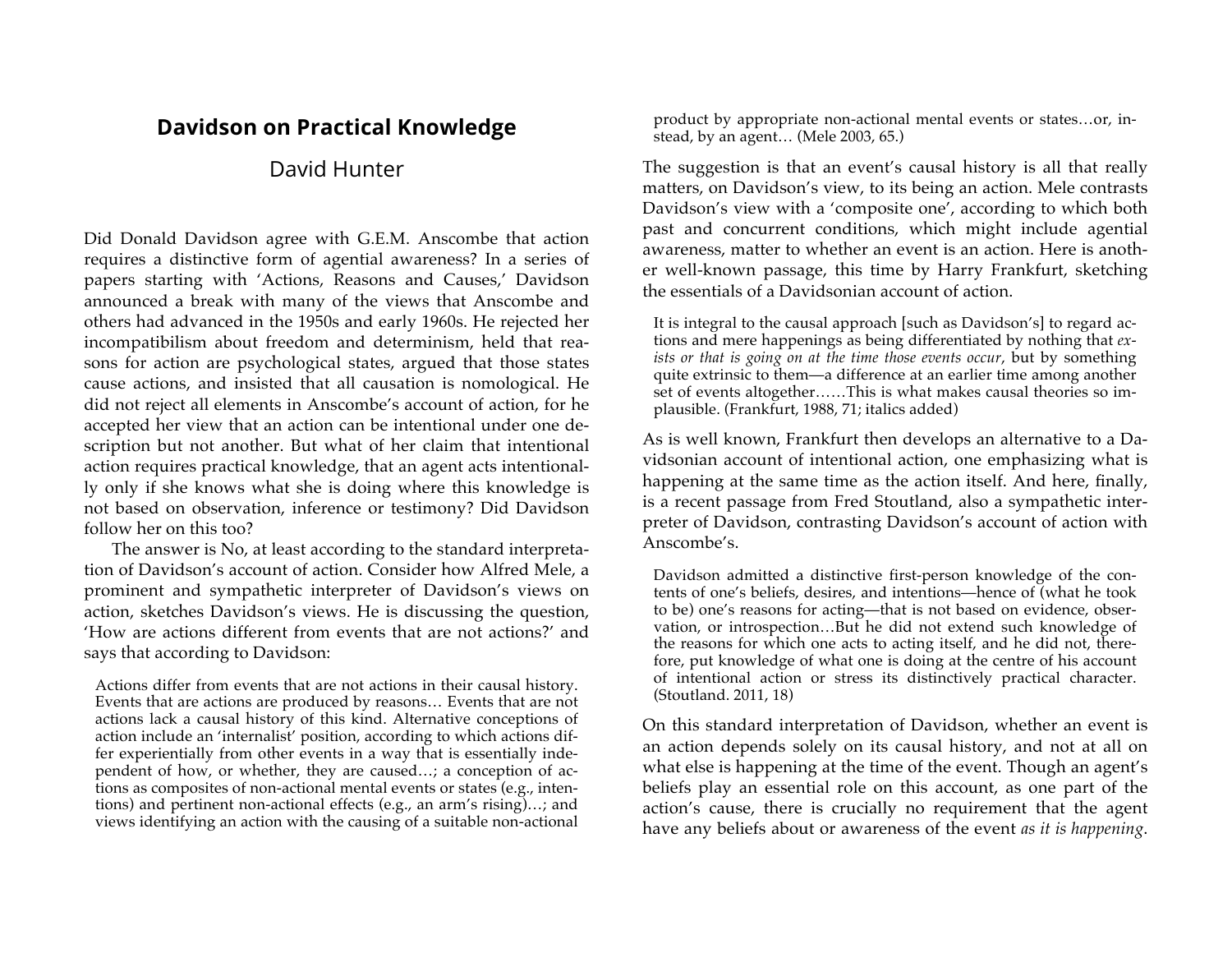# **Davidson on Practical Knowledge**

## David Hunter

Did Donald Davidson agree with G.E.M. Anscombe that action requires a distinctive form of agential awareness? In a series of papers starting with 'Actions, Reasons and Causes,' Davidson announced a break with many of the views that Anscombe and others had advanced in the 1950s and early 1960s. He rejected her incompatibilism about freedom and determinism, held that reasons for action are psychological states, argued that those states cause actions, and insisted that all causation is nomological. He did not reject all elements in Anscombe's account of action, for he accepted her view that an action can be intentional under one description but not another. But what of her claim that intentional action requires practical knowledge, that an agent acts intentionally only if she knows what she is doing where this knowledge is not based on observation, inference or testimony? Did Davidson follow her on this too?

The answer is No, at least according to the standard interpretation of Davidson's account of action. Consider how Alfred Mele, a prominent and sympathetic interpreter of Davidson's views on action, sketches Davidson's views. He is discussing the question, 'How are actions different from events that are not actions?' and says that according to Davidson:

Actions differ from events that are not actions in their causal history. Events that are actions are produced by reasons… Events that are not actions lack a causal history of this kind. Alternative conceptions of action include an 'internalist' position, according to which actions differ experientially from other events in a way that is essentially independent of how, or whether, they are caused…; a conception of actions as composites of non-actional mental events or states (e.g., intentions) and pertinent non-actional effects (e.g., an arm's rising)…; and views identifying an action with the causing of a suitable non-actional

product by appropriate non-actional mental events or states…or, instead, by an agent… (Mele 2003, 65.)

The suggestion is that an event's causal history is all that really matters, on Davidson's view, to its being an action. Mele contrasts Davidson's view with a 'composite one', according to which both past and concurrent conditions, which might include agential awareness, matter to whether an event is an action. Here is another well-known passage, this time by Harry Frankfurt, sketching the essentials of a Davidsonian account of action.

It is integral to the causal approach [such as Davidson's] to regard actions and mere happenings as being differentiated by nothing that *exists or that is going on at the time those events occur*, but by something quite extrinsic to them—a difference at an earlier time among another set of events altogether……This is what makes causal theories so implausible. (Frankfurt, 1988, 71; italics added)

As is well known, Frankfurt then develops an alternative to a Davidsonian account of intentional action, one emphasizing what is happening at the same time as the action itself. And here, finally, is a recent passage from Fred Stoutland, also a sympathetic interpreter of Davidson, contrasting Davidson's account of action with Anscombe's.

Davidson admitted a distinctive first-person knowledge of the contents of one's beliefs, desires, and intentions—hence of (what he took to be) one's reasons for acting—that is not based on evidence, observation, or introspection…But he did not extend such knowledge of the reasons for which one acts to acting itself, and he did not, therefore, put knowledge of what one is doing at the centre of his account of intentional action or stress its distinctively practical character. (Stoutland. 2011, 18)

On this standard interpretation of Davidson, whether an event is an action depends solely on its causal history, and not at all on what else is happening at the time of the event. Though an agent's beliefs play an essential role on this account, as one part of the action's cause, there is crucially no requirement that the agent have any beliefs about or awareness of the event *as it is happening*.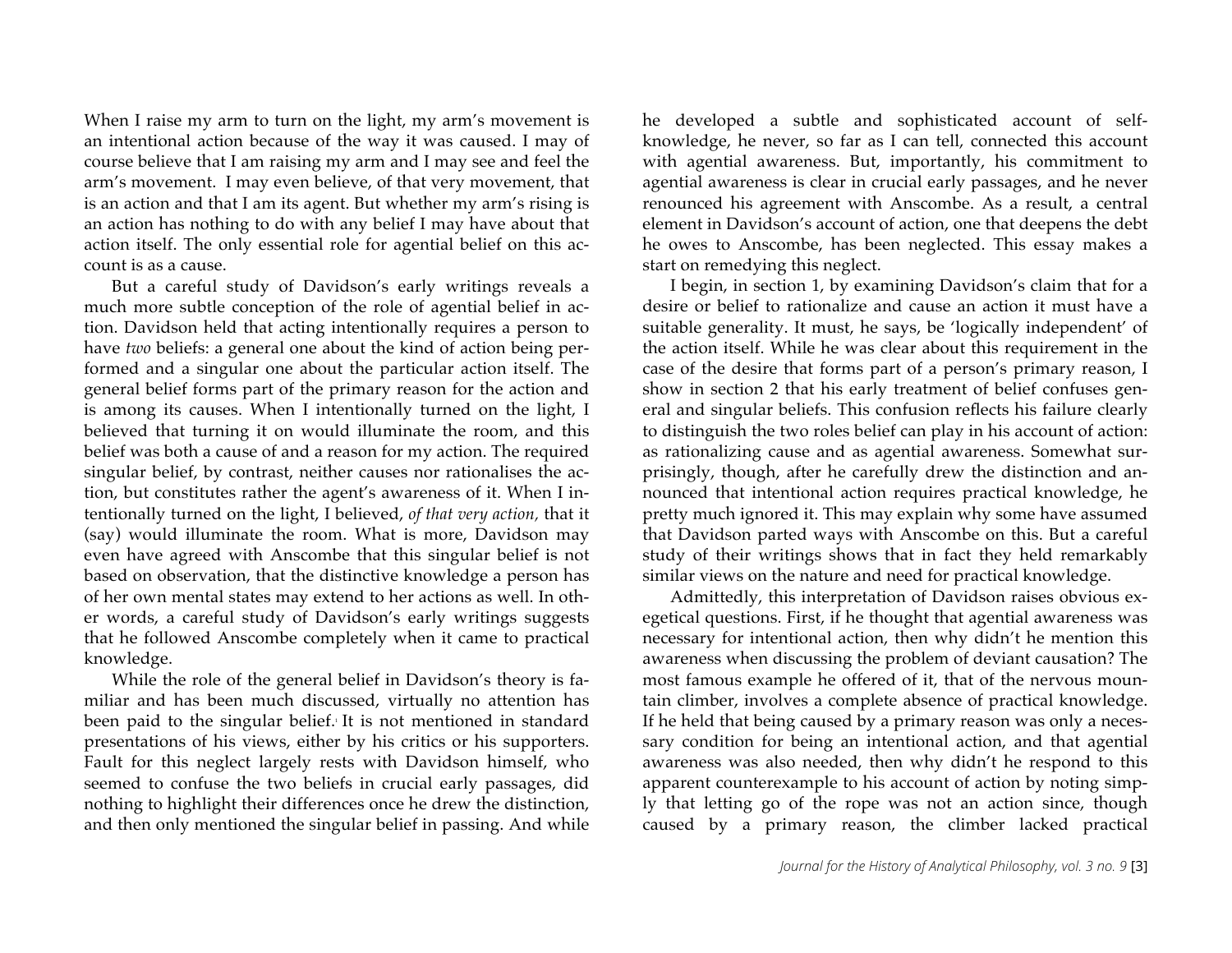When I raise my arm to turn on the light, my arm's movement is an intentional action because of the way it was caused. I may of course believe that I am raising my arm and I may see and feel the arm's movement. I may even believe, of that very movement, that is an action and that I am its agent. But whether my arm's rising is an action has nothing to do with any belief I may have about that action itself. The only essential role for agential belief on this account is as a cause.

But a careful study of Davidson's early writings reveals a much more subtle conception of the role of agential belief in action. Davidson held that acting intentionally requires a person to have *two* beliefs: a general one about the kind of action being performed and a singular one about the particular action itself. The general belief forms part of the primary reason for the action and is among its causes. When I intentionally turned on the light, I believed that turning it on would illuminate the room, and this belief was both a cause of and a reason for my action. The required singular belief, by contrast, neither causes nor rationalises the action, but constitutes rather the agent's awareness of it. When I intentionally turned on the light, I believed, *of that very action,* that it (say) would illuminate the room. What is more, Davidson may even have agreed with Anscombe that this singular belief is not based on observation, that the distinctive knowledge a person has of her own mental states may extend to her actions as well. In other words, a careful study of Davidson's early writings suggests that he followed Anscombe completely when it came to practical knowledge.

While the role of the general belief in Davidson's theory is familiar and has been much discussed, virtually no attention has been paid to the singular belief. It is not mentioned in standard presentations of his views, either by his critics or his supporters. Fault for this neglect largely rests with Davidson himself, who seemed to confuse the two beliefs in crucial early passages, did nothing to highlight their differences once he drew the distinction, and then only mentioned the singular belief in passing. And while he developed a subtle and sophisticated account of selfknowledge, he never, so far as I can tell, connected this account with agential awareness. But, importantly, his commitment to agential awareness is clear in crucial early passages, and he never renounced his agreement with Anscombe. As a result, a central element in Davidson's account of action, one that deepens the debt he owes to Anscombe, has been neglected. This essay makes a start on remedying this neglect.

I begin, in section 1, by examining Davidson's claim that for a desire or belief to rationalize and cause an action it must have a suitable generality. It must, he says, be 'logically independent' of the action itself. While he was clear about this requirement in the case of the desire that forms part of a person's primary reason, I show in section 2 that his early treatment of belief confuses general and singular beliefs. This confusion reflects his failure clearly to distinguish the two roles belief can play in his account of action: as rationalizing cause and as agential awareness. Somewhat surprisingly, though, after he carefully drew the distinction and announced that intentional action requires practical knowledge, he pretty much ignored it. This may explain why some have assumed that Davidson parted ways with Anscombe on this. But a careful study of their writings shows that in fact they held remarkably similar views on the nature and need for practical knowledge.

Admittedly, this interpretation of Davidson raises obvious exegetical questions. First, if he thought that agential awareness was necessary for intentional action, then why didn't he mention this awareness when discussing the problem of deviant causation? The most famous example he offered of it, that of the nervous mountain climber, involves a complete absence of practical knowledge. If he held that being caused by a primary reason was only a necessary condition for being an intentional action, and that agential awareness was also needed, then why didn't he respond to this apparent counterexample to his account of action by noting simply that letting go of the rope was not an action since, though caused by a primary reason, the climber lacked practical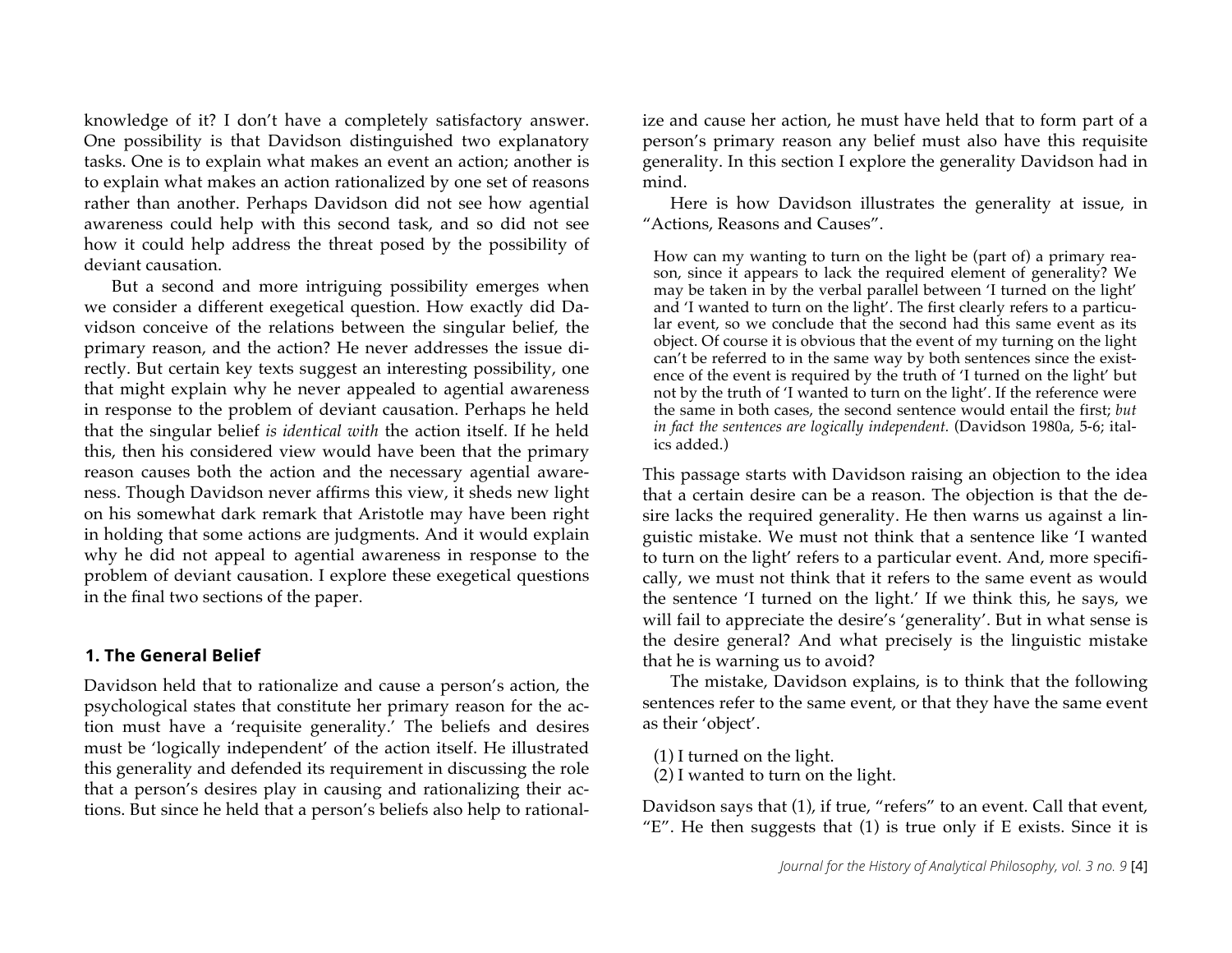knowledge of it? I don't have a completely satisfactory answer. One possibility is that Davidson distinguished two explanatory tasks. One is to explain what makes an event an action; another is to explain what makes an action rationalized by one set of reasons rather than another. Perhaps Davidson did not see how agential awareness could help with this second task, and so did not see how it could help address the threat posed by the possibility of deviant causation.

But a second and more intriguing possibility emerges when we consider a different exegetical question. How exactly did Davidson conceive of the relations between the singular belief, the primary reason, and the action? He never addresses the issue directly. But certain key texts suggest an interesting possibility, one that might explain why he never appealed to agential awareness in response to the problem of deviant causation. Perhaps he held that the singular belief *is identical with* the action itself. If he held this, then his considered view would have been that the primary reason causes both the action and the necessary agential awareness. Though Davidson never affirms this view, it sheds new light on his somewhat dark remark that Aristotle may have been right in holding that some actions are judgments. And it would explain why he did not appeal to agential awareness in response to the problem of deviant causation. I explore these exegetical questions in the final two sections of the paper.

#### **1. The General Belief**

Davidson held that to rationalize and cause a person's action, the psychological states that constitute her primary reason for the action must have a 'requisite generality.' The beliefs and desires must be 'logically independent' of the action itself. He illustrated this generality and defended its requirement in discussing the role that a person's desires play in causing and rationalizing their actions. But since he held that a person's beliefs also help to rationalize and cause her action, he must have held that to form part of a person's primary reason any belief must also have this requisite generality. In this section I explore the generality Davidson had in mind.

Here is how Davidson illustrates the generality at issue, in "Actions, Reasons and Causes".

How can my wanting to turn on the light be (part of) a primary reason, since it appears to lack the required element of generality? We may be taken in by the verbal parallel between 'I turned on the light' and 'I wanted to turn on the light'. The first clearly refers to a particular event, so we conclude that the second had this same event as its object. Of course it is obvious that the event of my turning on the light can't be referred to in the same way by both sentences since the existence of the event is required by the truth of 'I turned on the light' but not by the truth of 'I wanted to turn on the light'. If the reference were the same in both cases, the second sentence would entail the first; *but in fact the sentences are logically independent.* (Davidson 1980a, 5-6; italics added.)

This passage starts with Davidson raising an objection to the idea that a certain desire can be a reason. The objection is that the desire lacks the required generality. He then warns us against a linguistic mistake. We must not think that a sentence like 'I wanted to turn on the light' refers to a particular event. And, more specifically, we must not think that it refers to the same event as would the sentence 'I turned on the light.' If we think this, he says, we will fail to appreciate the desire's 'generality'. But in what sense is the desire general? And what precisely is the linguistic mistake that he is warning us to avoid?

The mistake, Davidson explains, is to think that the following sentences refer to the same event, or that they have the same event as their 'object'.

- (1) I turned on the light.
- (2) I wanted to turn on the light.

Davidson says that (1), if true, "refers" to an event. Call that event, "E". He then suggests that  $(1)$  is true only if E exists. Since it is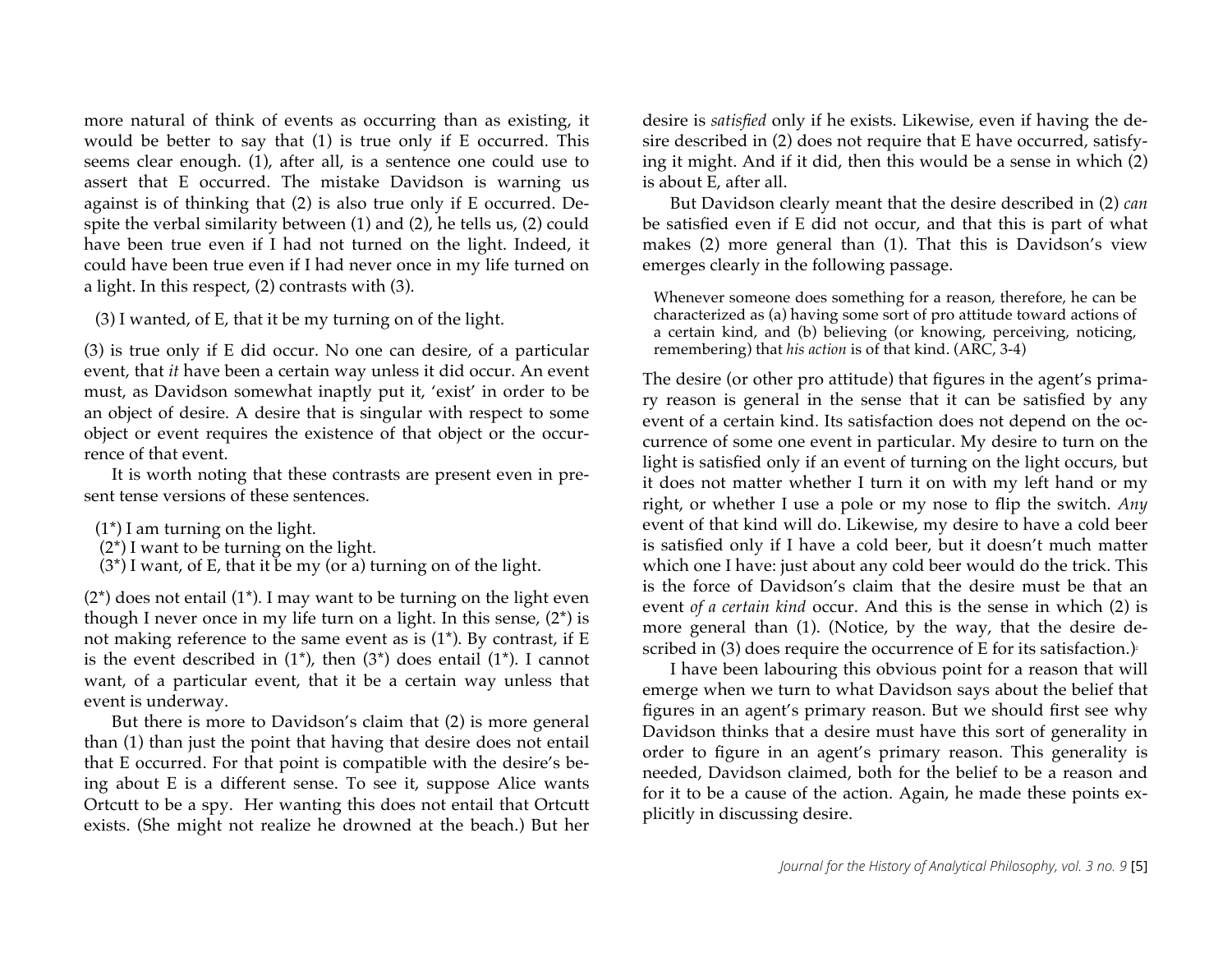more natural of think of events as occurring than as existing, it would be better to say that (1) is true only if E occurred. This seems clear enough. (1), after all, is a sentence one could use to assert that E occurred. The mistake Davidson is warning us against is of thinking that (2) is also true only if E occurred. Despite the verbal similarity between (1) and (2), he tells us, (2) could have been true even if I had not turned on the light. Indeed, it could have been true even if I had never once in my life turned on a light. In this respect, (2) contrasts with (3).

(3) I wanted, of E, that it be my turning on of the light.

(3) is true only if E did occur. No one can desire, of a particular event, that *it* have been a certain way unless it did occur. An event must, as Davidson somewhat inaptly put it, 'exist' in order to be an object of desire. A desire that is singular with respect to some object or event requires the existence of that object or the occurrence of that event.

It is worth noting that these contrasts are present even in present tense versions of these sentences.

- $(1^*)$  I am turning on the light.
- $(2^*)$  I want to be turning on the light.
- $(3^*)$  I want, of E, that it be my (or a) turning on of the light.

 $(2^*)$  does not entail  $(1^*)$ . I may want to be turning on the light even though I never once in my life turn on a light. In this sense,  $(2^*)$  is not making reference to the same event as is (1\*). By contrast, if E is the event described in  $(1^*)$ , then  $(3^*)$  does entail  $(1^*)$ . I cannot want, of a particular event, that it be a certain way unless that event is underway.

But there is more to Davidson's claim that (2) is more general than (1) than just the point that having that desire does not entail that E occurred. For that point is compatible with the desire's being about E is a different sense. To see it, suppose Alice wants Ortcutt to be a spy. Her wanting this does not entail that Ortcutt exists. (She might not realize he drowned at the beach.) But her desire is *satisfied* only if he exists. Likewise, even if having the desire described in (2) does not require that E have occurred, satisfying it might. And if it did, then this would be a sense in which (2) is about E, after all.

But Davidson clearly meant that the desire described in (2) *can* be satisfied even if E did not occur, and that this is part of what makes (2) more general than (1). That this is Davidson's view emerges clearly in the following passage.

Whenever someone does something for a reason, therefore, he can be characterized as (a) having some sort of pro attitude toward actions of a certain kind, and (b) believing (or knowing, perceiving, noticing, remembering) that *his action* is of that kind. (ARC, 3-4)

The desire (or other pro attitude) that figures in the agent's primary reason is general in the sense that it can be satisfied by any event of a certain kind. Its satisfaction does not depend on the occurrence of some one event in particular. My desire to turn on the light is satisfied only if an event of turning on the light occurs, but it does not matter whether I turn it on with my left hand or my right, or whether I use a pole or my nose to flip the switch. *Any* event of that kind will do. Likewise, my desire to have a cold beer is satisfied only if I have a cold beer, but it doesn't much matter which one I have: just about any cold beer would do the trick. This is the force of Davidson's claim that the desire must be that an event *of a certain kind* occur. And this is the sense in which (2) is more general than (1). (Notice, by the way, that the desire described in (3) does require the occurrence of E for its satisfaction.) $\epsilon$ 

I have been labouring this obvious point for a reason that will emerge when we turn to what Davidson says about the belief that figures in an agent's primary reason. But we should first see why Davidson thinks that a desire must have this sort of generality in order to figure in an agent's primary reason. This generality is needed, Davidson claimed, both for the belief to be a reason and for it to be a cause of the action. Again, he made these points explicitly in discussing desire.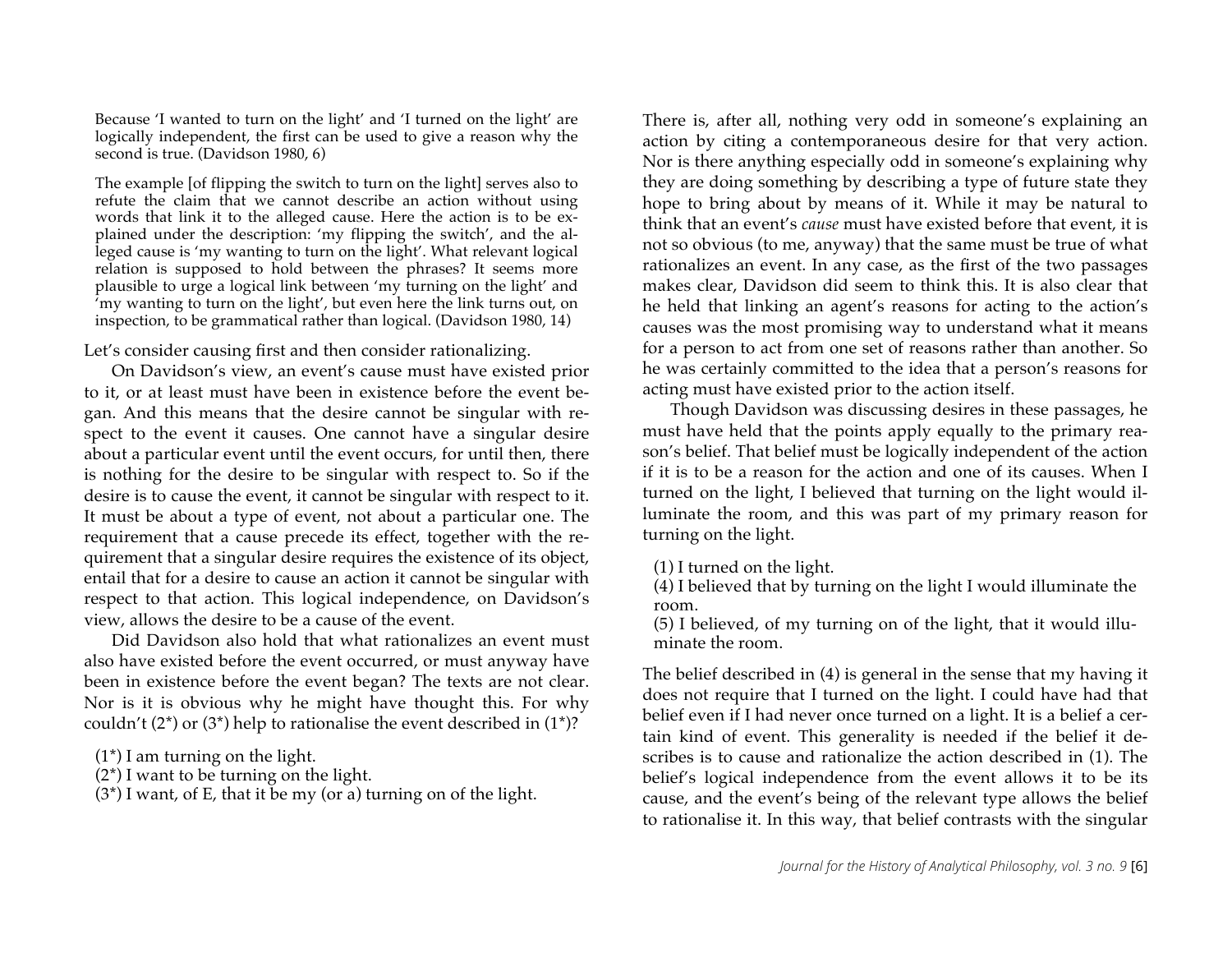Because 'I wanted to turn on the light' and 'I turned on the light' are logically independent, the first can be used to give a reason why the second is true. (Davidson 1980, 6)

The example [of flipping the switch to turn on the light] serves also to refute the claim that we cannot describe an action without using words that link it to the alleged cause. Here the action is to be explained under the description: 'my flipping the switch', and the alleged cause is 'my wanting to turn on the light'. What relevant logical relation is supposed to hold between the phrases? It seems more plausible to urge a logical link between 'my turning on the light' and 'my wanting to turn on the light', but even here the link turns out, on inspection, to be grammatical rather than logical. (Davidson 1980, 14)

Let's consider causing first and then consider rationalizing.

On Davidson's view, an event's cause must have existed prior to it, or at least must have been in existence before the event began. And this means that the desire cannot be singular with respect to the event it causes. One cannot have a singular desire about a particular event until the event occurs, for until then, there is nothing for the desire to be singular with respect to. So if the desire is to cause the event, it cannot be singular with respect to it. It must be about a type of event, not about a particular one. The requirement that a cause precede its effect, together with the requirement that a singular desire requires the existence of its object, entail that for a desire to cause an action it cannot be singular with respect to that action. This logical independence, on Davidson's view, allows the desire to be a cause of the event.

Did Davidson also hold that what rationalizes an event must also have existed before the event occurred, or must anyway have been in existence before the event began? The texts are not clear. Nor is it is obvious why he might have thought this. For why couldn't  $(2^*)$  or  $(3^*)$  help to rationalise the event described in  $(1^*)$ ?

- $(1^*)$  I am turning on the light.
- $(2^*)$  I want to be turning on the light.
- $(3^*)$  I want, of E, that it be my (or a) turning on of the light.

There is, after all, nothing very odd in someone's explaining an action by citing a contemporaneous desire for that very action. Nor is there anything especially odd in someone's explaining why they are doing something by describing a type of future state they hope to bring about by means of it. While it may be natural to think that an event's *cause* must have existed before that event, it is not so obvious (to me, anyway) that the same must be true of what rationalizes an event. In any case, as the first of the two passages makes clear, Davidson did seem to think this. It is also clear that he held that linking an agent's reasons for acting to the action's causes was the most promising way to understand what it means for a person to act from one set of reasons rather than another. So he was certainly committed to the idea that a person's reasons for acting must have existed prior to the action itself.

Though Davidson was discussing desires in these passages, he must have held that the points apply equally to the primary reason's belief. That belief must be logically independent of the action if it is to be a reason for the action and one of its causes. When I turned on the light, I believed that turning on the light would illuminate the room, and this was part of my primary reason for turning on the light.

(1) I turned on the light.

(4) I believed that by turning on the light I would illuminate the room.

(5) I believed, of my turning on of the light, that it would illuminate the room.

The belief described in (4) is general in the sense that my having it does not require that I turned on the light. I could have had that belief even if I had never once turned on a light. It is a belief a certain kind of event. This generality is needed if the belief it describes is to cause and rationalize the action described in (1). The belief's logical independence from the event allows it to be its cause, and the event's being of the relevant type allows the belief to rationalise it. In this way, that belief contrasts with the singular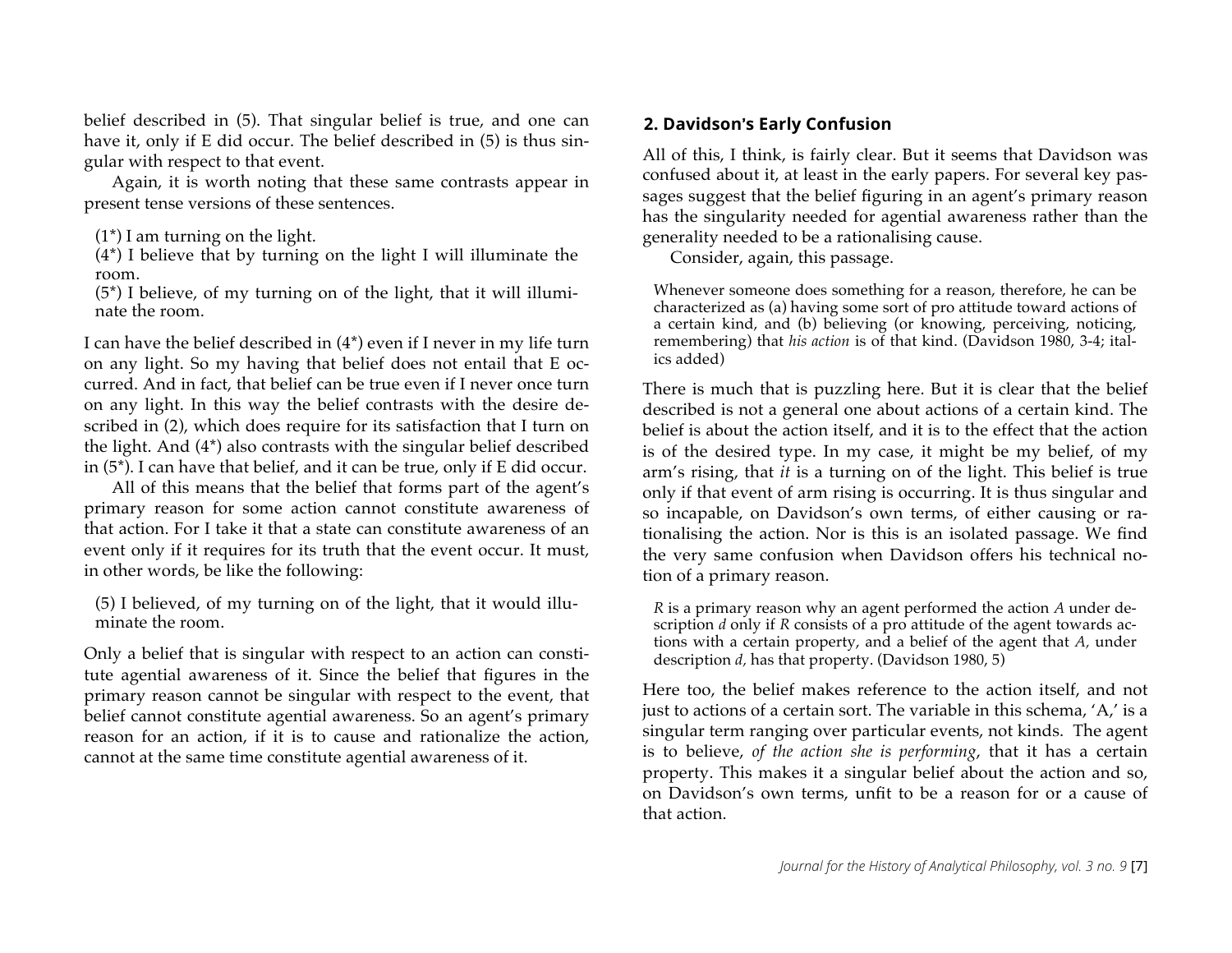belief described in (5). That singular belief is true, and one can have it, only if E did occur. The belief described in (5) is thus singular with respect to that event.

Again, it is worth noting that these same contrasts appear in present tense versions of these sentences.

(4\*) I believe that by turning on the light I will illuminate the room.

(5\*) I believe, of my turning on of the light, that it will illuminate the room.

I can have the belief described in (4\*) even if I never in my life turn on any light. So my having that belief does not entail that E occurred. And in fact, that belief can be true even if I never once turn on any light. In this way the belief contrasts with the desire described in (2), which does require for its satisfaction that I turn on the light. And (4\*) also contrasts with the singular belief described in (5\*). I can have that belief, and it can be true, only if E did occur.

All of this means that the belief that forms part of the agent's primary reason for some action cannot constitute awareness of that action. For I take it that a state can constitute awareness of an event only if it requires for its truth that the event occur. It must, in other words, be like the following:

(5) I believed, of my turning on of the light, that it would illuminate the room.

Only a belief that is singular with respect to an action can constitute agential awareness of it. Since the belief that figures in the primary reason cannot be singular with respect to the event, that belief cannot constitute agential awareness. So an agent's primary reason for an action, if it is to cause and rationalize the action, cannot at the same time constitute agential awareness of it.

## **2. Davidson**-**s Early Confusion**

All of this, I think, is fairly clear. But it seems that Davidson was confused about it, at least in the early papers. For several key passages suggest that the belief figuring in an agent's primary reason has the singularity needed for agential awareness rather than the generality needed to be a rationalising cause.

Consider, again, this passage.

Whenever someone does something for a reason, therefore, he can be characterized as (a) having some sort of pro attitude toward actions of a certain kind, and (b) believing (or knowing, perceiving, noticing, remembering) that *his action* is of that kind. (Davidson 1980, 3-4; italics added)

There is much that is puzzling here. But it is clear that the belief described is not a general one about actions of a certain kind. The belief is about the action itself, and it is to the effect that the action is of the desired type. In my case, it might be my belief, of my arm's rising, that *it* is a turning on of the light. This belief is true only if that event of arm rising is occurring. It is thus singular and so incapable, on Davidson's own terms, of either causing or rationalising the action. Nor is this is an isolated passage. We find the very same confusion when Davidson offers his technical notion of a primary reason.

*R* is a primary reason why an agent performed the action *A* under description *d* only if *R* consists of a pro attitude of the agent towards actions with a certain property, and a belief of the agent that *A,* under description *d,* has that property. (Davidson 1980, 5)

Here too, the belief makes reference to the action itself, and not just to actions of a certain sort. The variable in this schema, 'A,' is a singular term ranging over particular events, not kinds. The agent is to believe, *of the action she is performing*, that it has a certain property. This makes it a singular belief about the action and so, on Davidson's own terms, unfit to be a reason for or a cause of that action.

 $(1^*)$  I am turning on the light.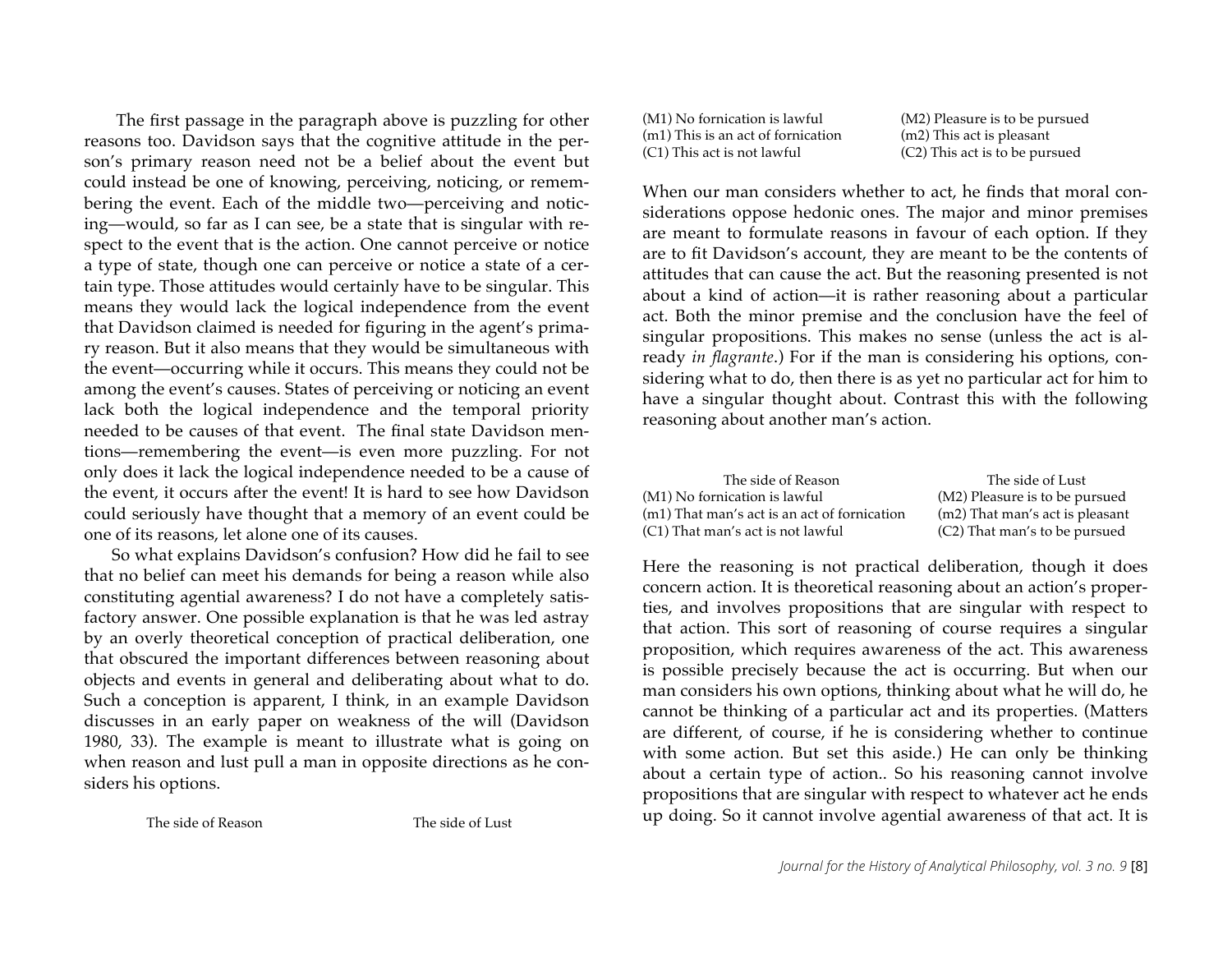The first passage in the paragraph above is puzzling for other reasons too. Davidson says that the cognitive attitude in the person's primary reason need not be a belief about the event but could instead be one of knowing, perceiving, noticing, or remembering the event. Each of the middle two—perceiving and noticing—would, so far as I can see, be a state that is singular with respect to the event that is the action. One cannot perceive or notice a type of state, though one can perceive or notice a state of a certain type. Those attitudes would certainly have to be singular. This means they would lack the logical independence from the event that Davidson claimed is needed for figuring in the agent's primary reason. But it also means that they would be simultaneous with the event—occurring while it occurs. This means they could not be among the event's causes. States of perceiving or noticing an event lack both the logical independence and the temporal priority needed to be causes of that event. The final state Davidson mentions—remembering the event—is even more puzzling. For not only does it lack the logical independence needed to be a cause of the event, it occurs after the event! It is hard to see how Davidson could seriously have thought that a memory of an event could be one of its reasons, let alone one of its causes.

So what explains Davidson's confusion? How did he fail to see that no belief can meet his demands for being a reason while also constituting agential awareness? I do not have a completely satisfactory answer. One possible explanation is that he was led astray by an overly theoretical conception of practical deliberation, one that obscured the important differences between reasoning about objects and events in general and deliberating about what to do. Such a conception is apparent, I think, in an example Davidson discusses in an early paper on weakness of the will (Davidson 1980, 33). The example is meant to illustrate what is going on when reason and lust pull a man in opposite directions as he considers his options.

The side of Reason The side of Lust

(M1) No fornication is lawful (m1) This is an act of fornication (C1) This act is not lawful

(M2) Pleasure is to be pursued (m2) This act is pleasant (C2) This act is to be pursued

When our man considers whether to act, he finds that moral considerations oppose hedonic ones. The major and minor premises are meant to formulate reasons in favour of each option. If they are to fit Davidson's account, they are meant to be the contents of attitudes that can cause the act. But the reasoning presented is not about a kind of action—it is rather reasoning about a particular act. Both the minor premise and the conclusion have the feel of singular propositions. This makes no sense (unless the act is already *in flagrante*.) For if the man is considering his options, considering what to do, then there is as yet no particular act for him to have a singular thought about. Contrast this with the following reasoning about another man's action.

| The side of Reason                           | The side of Lust                |
|----------------------------------------------|---------------------------------|
| (M1) No fornication is lawful                | (M2) Pleasure is to be pursued  |
| (m1) That man's act is an act of fornication | (m2) That man's act is pleasant |
| (C1) That man's act is not lawful            | (C2) That man's to be pursued   |

Here the reasoning is not practical deliberation, though it does concern action. It is theoretical reasoning about an action's properties, and involves propositions that are singular with respect to that action. This sort of reasoning of course requires a singular proposition, which requires awareness of the act. This awareness is possible precisely because the act is occurring. But when our man considers his own options, thinking about what he will do, he cannot be thinking of a particular act and its properties. (Matters are different, of course, if he is considering whether to continue with some action. But set this aside.) He can only be thinking about a certain type of action.. So his reasoning cannot involve propositions that are singular with respect to whatever act he ends up doing. So it cannot involve agential awareness of that act. It is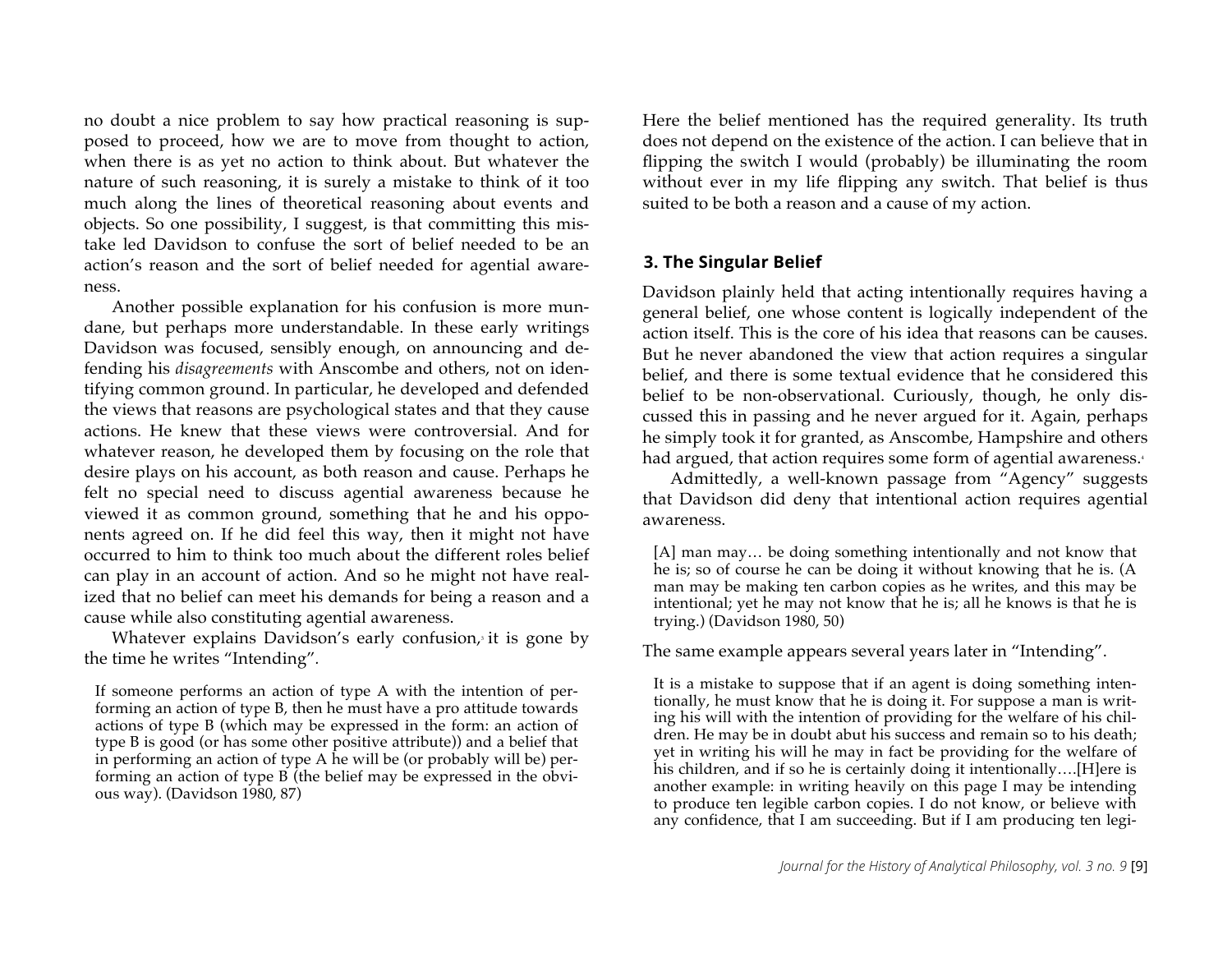no doubt a nice problem to say how practical reasoning is supposed to proceed, how we are to move from thought to action, when there is as yet no action to think about. But whatever the nature of such reasoning, it is surely a mistake to think of it too much along the lines of theoretical reasoning about events and objects. So one possibility, I suggest, is that committing this mistake led Davidson to confuse the sort of belief needed to be an action's reason and the sort of belief needed for agential awareness.

Another possible explanation for his confusion is more mundane, but perhaps more understandable. In these early writings Davidson was focused, sensibly enough, on announcing and defending his *disagreements* with Anscombe and others, not on identifying common ground. In particular, he developed and defended the views that reasons are psychological states and that they cause actions. He knew that these views were controversial. And for whatever reason, he developed them by focusing on the role that desire plays on his account, as both reason and cause. Perhaps he felt no special need to discuss agential awareness because he viewed it as common ground, something that he and his opponents agreed on. If he did feel this way, then it might not have occurred to him to think too much about the different roles belief can play in an account of action. And so he might not have realized that no belief can meet his demands for being a reason and a cause while also constituting agential awareness.

Whatever explains Davidson's early confusion, it is gone by the time he writes "Intending"*.*

If someone performs an action of type A with the intention of performing an action of type B, then he must have a pro attitude towards actions of type B (which may be expressed in the form: an action of type B is good (or has some other positive attribute)) and a belief that in performing an action of type A he will be (or probably will be) performing an action of type B (the belief may be expressed in the obvious way). (Davidson 1980, 87)

Here the belief mentioned has the required generality. Its truth does not depend on the existence of the action. I can believe that in flipping the switch I would (probably) be illuminating the room without ever in my life flipping any switch. That belief is thus suited to be both a reason and a cause of my action.

#### **3. The Singular Belief**

Davidson plainly held that acting intentionally requires having a general belief, one whose content is logically independent of the action itself. This is the core of his idea that reasons can be causes. But he never abandoned the view that action requires a singular belief, and there is some textual evidence that he considered this belief to be non-observational. Curiously, though, he only discussed this in passing and he never argued for it. Again, perhaps he simply took it for granted, as Anscombe, Hampshire and others had argued, that action requires some form of agential awareness.<sup>4</sup>

Admittedly, a well-known passage from "Agency" suggests that Davidson did deny that intentional action requires agential awareness.

[A] man may… be doing something intentionally and not know that he is; so of course he can be doing it without knowing that he is. (A man may be making ten carbon copies as he writes, and this may be intentional; yet he may not know that he is; all he knows is that he is trying.) (Davidson 1980, 50)

The same example appears several years later in "Intending".

It is a mistake to suppose that if an agent is doing something intentionally, he must know that he is doing it. For suppose a man is writing his will with the intention of providing for the welfare of his children. He may be in doubt abut his success and remain so to his death; yet in writing his will he may in fact be providing for the welfare of his children, and if so he is certainly doing it intentionally….[H]ere is another example: in writing heavily on this page I may be intending to produce ten legible carbon copies. I do not know, or believe with any confidence, that I am succeeding. But if I am producing ten legi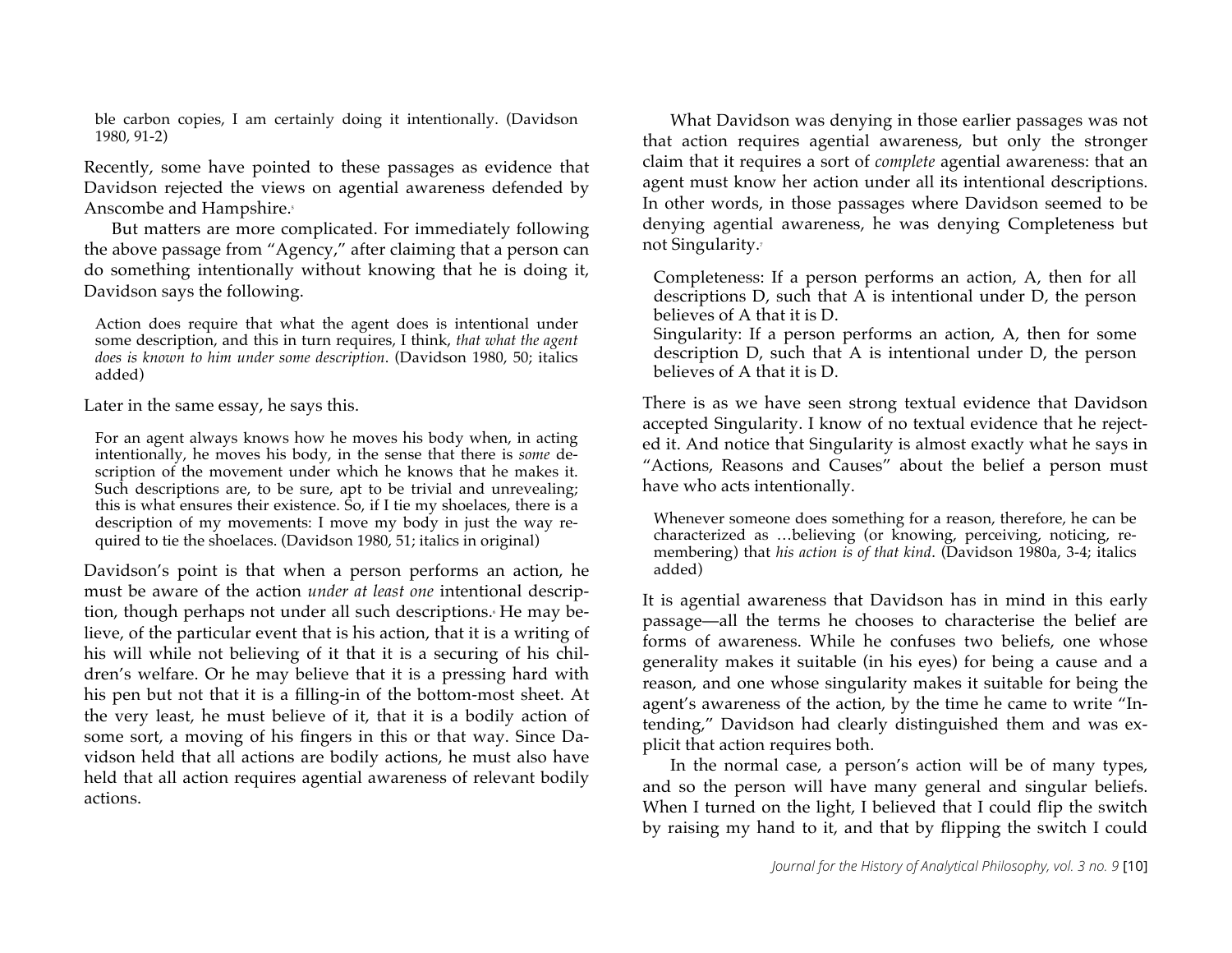ble carbon copies, I am certainly doing it intentionally. (Davidson 1980, 91-2)

Recently, some have pointed to these passages as evidence that Davidson rejected the views on agential awareness defended by Anscombe and Hampshire.<sup>5</sup>

But matters are more complicated. For immediately following the above passage from "Agency," after claiming that a person can do something intentionally without knowing that he is doing it, Davidson says the following.

Action does require that what the agent does is intentional under some description, and this in turn requires, I think, *that what the agent does is known to him under some description*. (Davidson 1980, 50; italics added)

Later in the same essay, he says this.

For an agent always knows how he moves his body when, in acting intentionally, he moves his body, in the sense that there is *some* description of the movement under which he knows that he makes it. Such descriptions are, to be sure, apt to be trivial and unrevealing; this is what ensures their existence. So, if I tie my shoelaces, there is a description of my movements: I move my body in just the way required to tie the shoelaces. (Davidson 1980, 51; italics in original)

Davidson's point is that when a person performs an action, he must be aware of the action *under at least one* intentional description, though perhaps not under all such descriptions. He may believe, of the particular event that is his action, that it is a writing of his will while not believing of it that it is a securing of his children's welfare. Or he may believe that it is a pressing hard with his pen but not that it is a filling-in of the bottom-most sheet. At the very least, he must believe of it, that it is a bodily action of some sort, a moving of his fingers in this or that way. Since Davidson held that all actions are bodily actions, he must also have held that all action requires agential awareness of relevant bodily actions.

What Davidson was denying in those earlier passages was not that action requires agential awareness, but only the stronger claim that it requires a sort of *complete* agential awareness: that an agent must know her action under all its intentional descriptions. In other words, in those passages where Davidson seemed to be denying agential awareness, he was denying Completeness but not Singularity.<sup>7</sup>

Completeness: If a person performs an action, A, then for all descriptions D, such that A is intentional under D, the person believes of A that it is D.

Singularity: If a person performs an action, A, then for some description D, such that A is intentional under D, the person believes of A that it is D.

There is as we have seen strong textual evidence that Davidson accepted Singularity. I know of no textual evidence that he rejected it. And notice that Singularity is almost exactly what he says in "Actions, Reasons and Causes" about the belief a person must have who acts intentionally.

Whenever someone does something for a reason, therefore, he can be characterized as …believing (or knowing, perceiving, noticing, remembering) that *his action is of that kind*. (Davidson 1980a, 3-4; italics added)

It is agential awareness that Davidson has in mind in this early passage—all the terms he chooses to characterise the belief are forms of awareness. While he confuses two beliefs, one whose generality makes it suitable (in his eyes) for being a cause and a reason, and one whose singularity makes it suitable for being the agent's awareness of the action, by the time he came to write "Intending," Davidson had clearly distinguished them and was explicit that action requires both.

In the normal case, a person's action will be of many types, and so the person will have many general and singular beliefs. When I turned on the light, I believed that I could flip the switch by raising my hand to it, and that by flipping the switch I could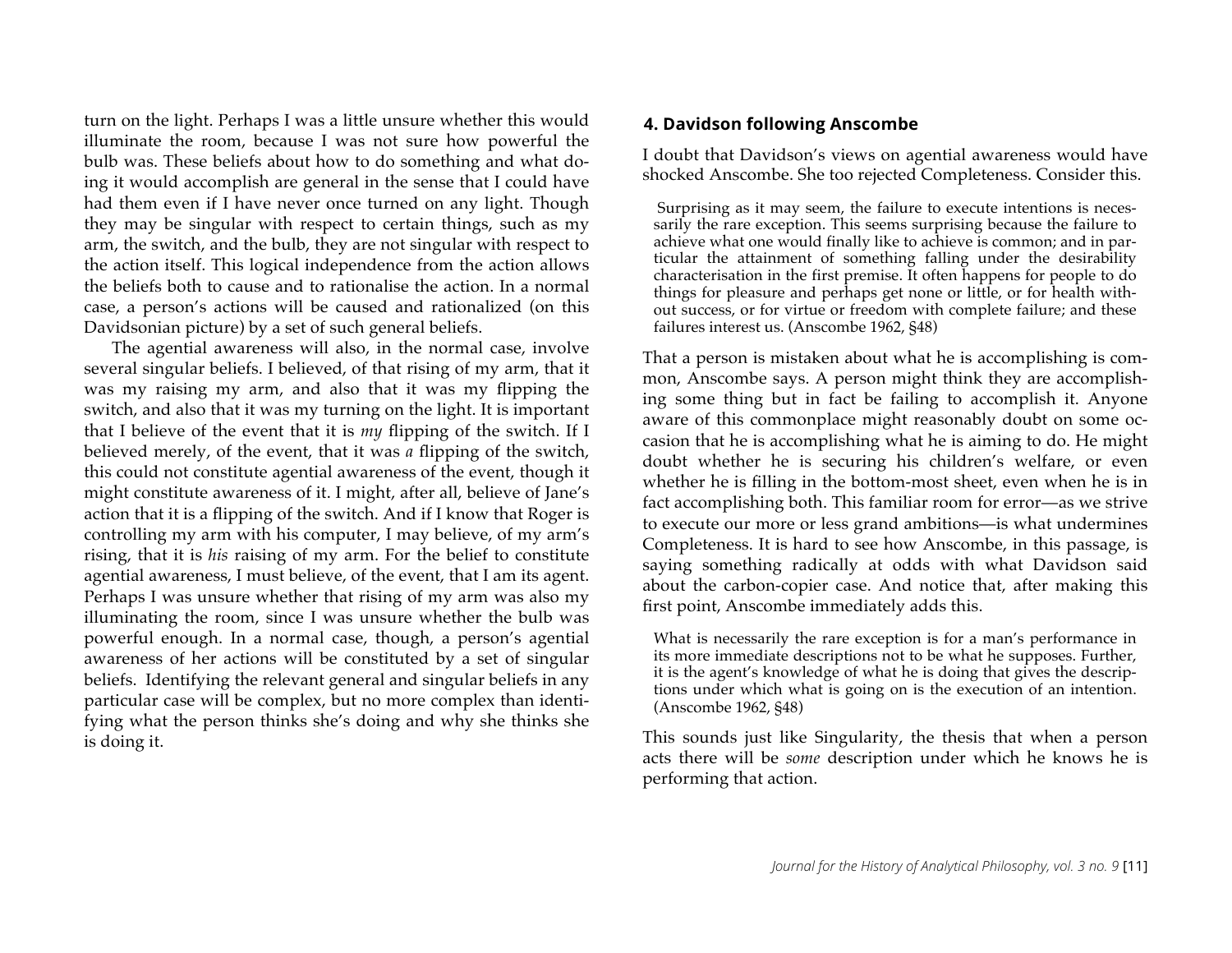turn on the light. Perhaps I was a little unsure whether this would illuminate the room, because I was not sure how powerful the bulb was. These beliefs about how to do something and what doing it would accomplish are general in the sense that I could have had them even if I have never once turned on any light. Though they may be singular with respect to certain things, such as my arm, the switch, and the bulb, they are not singular with respect to the action itself. This logical independence from the action allows the beliefs both to cause and to rationalise the action. In a normal case, a person's actions will be caused and rationalized (on this Davidsonian picture) by a set of such general beliefs.

The agential awareness will also, in the normal case, involve several singular beliefs. I believed, of that rising of my arm, that it was my raising my arm, and also that it was my flipping the switch, and also that it was my turning on the light. It is important that I believe of the event that it is *my* flipping of the switch. If I believed merely, of the event, that it was *a* flipping of the switch, this could not constitute agential awareness of the event, though it might constitute awareness of it. I might, after all, believe of Jane's action that it is a flipping of the switch. And if I know that Roger is controlling my arm with his computer, I may believe, of my arm's rising, that it is *his* raising of my arm. For the belief to constitute agential awareness, I must believe, of the event, that I am its agent. Perhaps I was unsure whether that rising of my arm was also my illuminating the room, since I was unsure whether the bulb was powerful enough. In a normal case, though, a person's agential awareness of her actions will be constituted by a set of singular beliefs. Identifying the relevant general and singular beliefs in any particular case will be complex, but no more complex than identifying what the person thinks she's doing and why she thinks she is doing it.

## **4. Davidson following Anscombe**

I doubt that Davidson's views on agential awareness would have shocked Anscombe. She too rejected Completeness. Consider this.

Surprising as it may seem, the failure to execute intentions is necessarily the rare exception. This seems surprising because the failure to achieve what one would finally like to achieve is common; and in particular the attainment of something falling under the desirability characterisation in the first premise. It often happens for people to do things for pleasure and perhaps get none or little, or for health without success, or for virtue or freedom with complete failure; and these failures interest us. (Anscombe 1962, §48)

That a person is mistaken about what he is accomplishing is common, Anscombe says. A person might think they are accomplishing some thing but in fact be failing to accomplish it. Anyone aware of this commonplace might reasonably doubt on some occasion that he is accomplishing what he is aiming to do. He might doubt whether he is securing his children's welfare, or even whether he is filling in the bottom-most sheet, even when he is in fact accomplishing both. This familiar room for error—as we strive to execute our more or less grand ambitions—is what undermines Completeness. It is hard to see how Anscombe, in this passage, is saying something radically at odds with what Davidson said about the carbon-copier case. And notice that, after making this first point, Anscombe immediately adds this.

What is necessarily the rare exception is for a man's performance in its more immediate descriptions not to be what he supposes. Further, it is the agent's knowledge of what he is doing that gives the descriptions under which what is going on is the execution of an intention. (Anscombe 1962, §48)

This sounds just like Singularity, the thesis that when a person acts there will be *some* description under which he knows he is performing that action.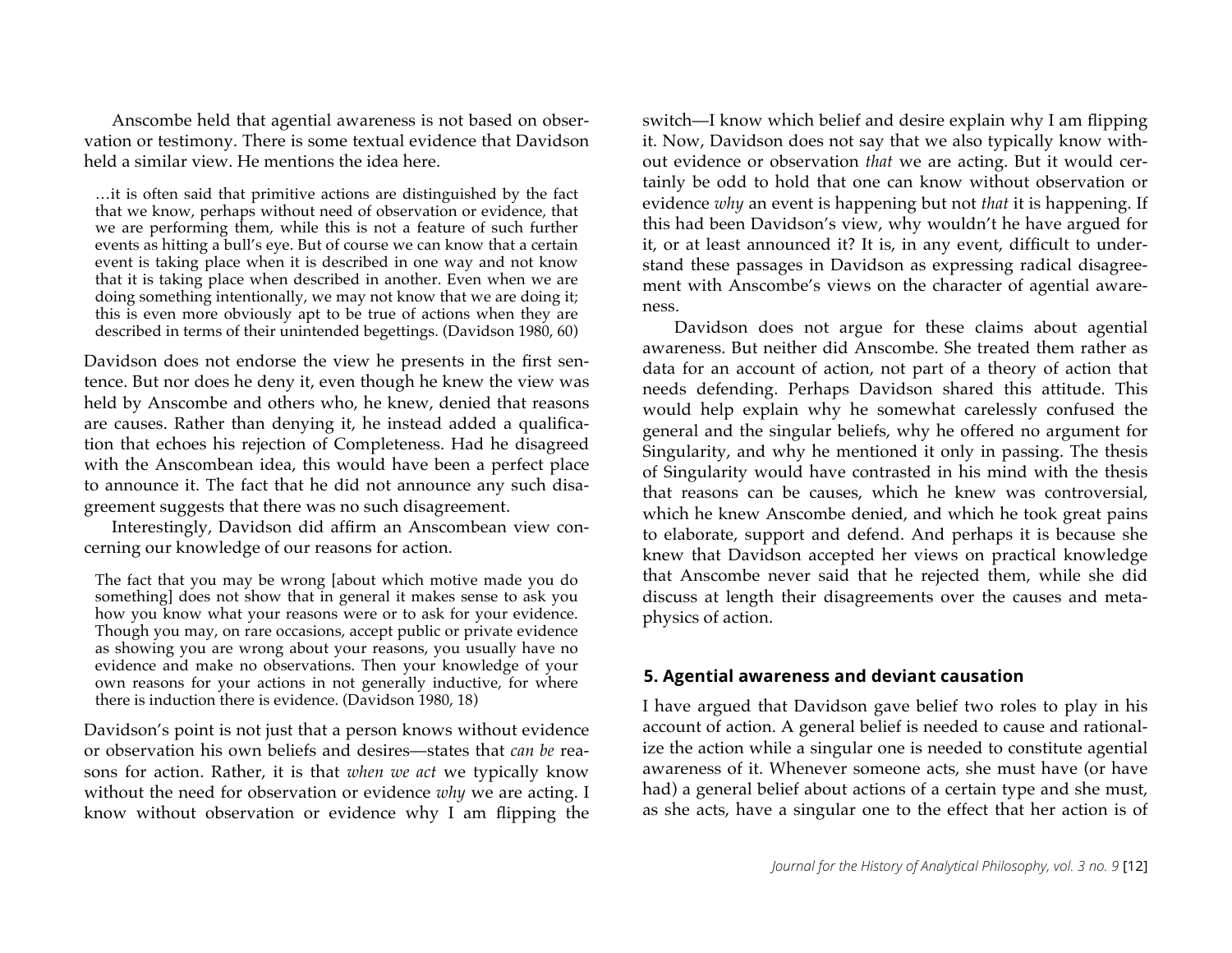Anscombe held that agential awareness is not based on observation or testimony. There is some textual evidence that Davidson held a similar view. He mentions the idea here.

…it is often said that primitive actions are distinguished by the fact that we know, perhaps without need of observation or evidence, that we are performing them, while this is not a feature of such further events as hitting a bull's eye. But of course we can know that a certain event is taking place when it is described in one way and not know that it is taking place when described in another. Even when we are doing something intentionally, we may not know that we are doing it; this is even more obviously apt to be true of actions when they are described in terms of their unintended begettings. (Davidson 1980, 60)

Davidson does not endorse the view he presents in the first sentence. But nor does he deny it, even though he knew the view was held by Anscombe and others who, he knew, denied that reasons are causes. Rather than denying it, he instead added a qualification that echoes his rejection of Completeness. Had he disagreed with the Anscombean idea, this would have been a perfect place to announce it. The fact that he did not announce any such disagreement suggests that there was no such disagreement.

Interestingly, Davidson did affirm an Anscombean view concerning our knowledge of our reasons for action.

The fact that you may be wrong [about which motive made you do something] does not show that in general it makes sense to ask you how you know what your reasons were or to ask for your evidence. Though you may, on rare occasions, accept public or private evidence as showing you are wrong about your reasons, you usually have no evidence and make no observations. Then your knowledge of your own reasons for your actions in not generally inductive, for where there is induction there is evidence. (Davidson 1980, 18)

Davidson's point is not just that a person knows without evidence or observation his own beliefs and desires—states that *can be* reasons for action. Rather, it is that *when we act* we typically know without the need for observation or evidence *why* we are acting. I know without observation or evidence why I am flipping the switch—I know which belief and desire explain why I am flipping it. Now, Davidson does not say that we also typically know without evidence or observation *that* we are acting. But it would certainly be odd to hold that one can know without observation or evidence *why* an event is happening but not *that* it is happening. If this had been Davidson's view, why wouldn't he have argued for it, or at least announced it? It is, in any event, difficult to understand these passages in Davidson as expressing radical disagreement with Anscombe's views on the character of agential awareness.

Davidson does not argue for these claims about agential awareness. But neither did Anscombe. She treated them rather as data for an account of action, not part of a theory of action that needs defending. Perhaps Davidson shared this attitude. This would help explain why he somewhat carelessly confused the general and the singular beliefs, why he offered no argument for Singularity, and why he mentioned it only in passing. The thesis of Singularity would have contrasted in his mind with the thesis that reasons can be causes, which he knew was controversial, which he knew Anscombe denied, and which he took great pains to elaborate, support and defend. And perhaps it is because she knew that Davidson accepted her views on practical knowledge that Anscombe never said that he rejected them, while she did discuss at length their disagreements over the causes and metaphysics of action.

#### **5. Agential awareness and deviant causation**

I have argued that Davidson gave belief two roles to play in his account of action. A general belief is needed to cause and rationalize the action while a singular one is needed to constitute agential awareness of it. Whenever someone acts, she must have (or have had) a general belief about actions of a certain type and she must, as she acts, have a singular one to the effect that her action is of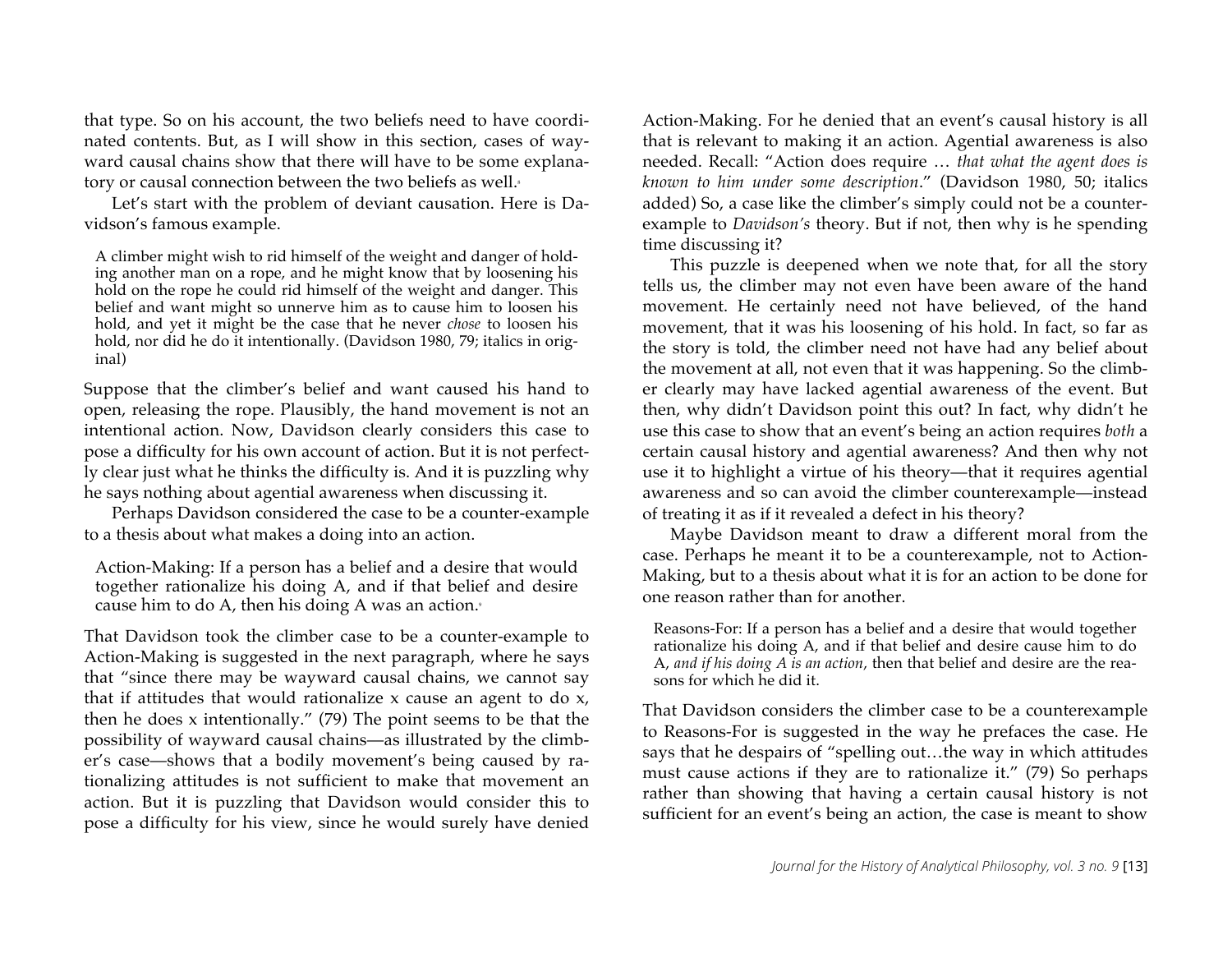that type. So on his account, the two beliefs need to have coordinated contents. But, as I will show in this section, cases of wayward causal chains show that there will have to be some explanatory or causal connection between the two beliefs as well.<sup>8</sup>

Let's start with the problem of deviant causation. Here is Davidson's famous example.

A climber might wish to rid himself of the weight and danger of holding another man on a rope, and he might know that by loosening his hold on the rope he could rid himself of the weight and danger. This belief and want might so unnerve him as to cause him to loosen his hold, and yet it might be the case that he never *chose* to loosen his hold, nor did he do it intentionally. (Davidson 1980, 79; italics in original)

Suppose that the climber's belief and want caused his hand to open, releasing the rope. Plausibly, the hand movement is not an intentional action. Now, Davidson clearly considers this case to pose a difficulty for his own account of action. But it is not perfectly clear just what he thinks the difficulty is. And it is puzzling why he says nothing about agential awareness when discussing it.

Perhaps Davidson considered the case to be a counter-example to a thesis about what makes a doing into an action.

Action-Making: If a person has a belief and a desire that would together rationalize his doing A, and if that belief and desire cause him to do A, then his doing A was an action.<sup>9</sup>

That Davidson took the climber case to be a counter-example to Action-Making is suggested in the next paragraph, where he says that "since there may be wayward causal chains, we cannot say that if attitudes that would rationalize x cause an agent to do x, then he does x intentionally." (79) The point seems to be that the possibility of wayward causal chains—as illustrated by the climber's case—shows that a bodily movement's being caused by rationalizing attitudes is not sufficient to make that movement an action. But it is puzzling that Davidson would consider this to pose a difficulty for his view, since he would surely have denied

Action-Making. For he denied that an event's causal history is all that is relevant to making it an action. Agential awareness is also needed. Recall: "Action does require … *that what the agent does is known to him under some description*." (Davidson 1980, 50; italics added) So, a case like the climber's simply could not be a counterexample to *Davidson's* theory. But if not, then why is he spending time discussing it?

This puzzle is deepened when we note that, for all the story tells us, the climber may not even have been aware of the hand movement. He certainly need not have believed, of the hand movement, that it was his loosening of his hold. In fact, so far as the story is told, the climber need not have had any belief about the movement at all, not even that it was happening. So the climber clearly may have lacked agential awareness of the event. But then, why didn't Davidson point this out? In fact, why didn't he use this case to show that an event's being an action requires *both* a certain causal history and agential awareness? And then why not use it to highlight a virtue of his theory—that it requires agential awareness and so can avoid the climber counterexample—instead of treating it as if it revealed a defect in his theory?

Maybe Davidson meant to draw a different moral from the case. Perhaps he meant it to be a counterexample, not to Action-Making, but to a thesis about what it is for an action to be done for one reason rather than for another.

Reasons-For: If a person has a belief and a desire that would together rationalize his doing A, and if that belief and desire cause him to do A, *and if his doing A is an action*, then that belief and desire are the reasons for which he did it.

That Davidson considers the climber case to be a counterexample to Reasons-For is suggested in the way he prefaces the case. He says that he despairs of "spelling out…the way in which attitudes must cause actions if they are to rationalize it." (79) So perhaps rather than showing that having a certain causal history is not sufficient for an event's being an action, the case is meant to show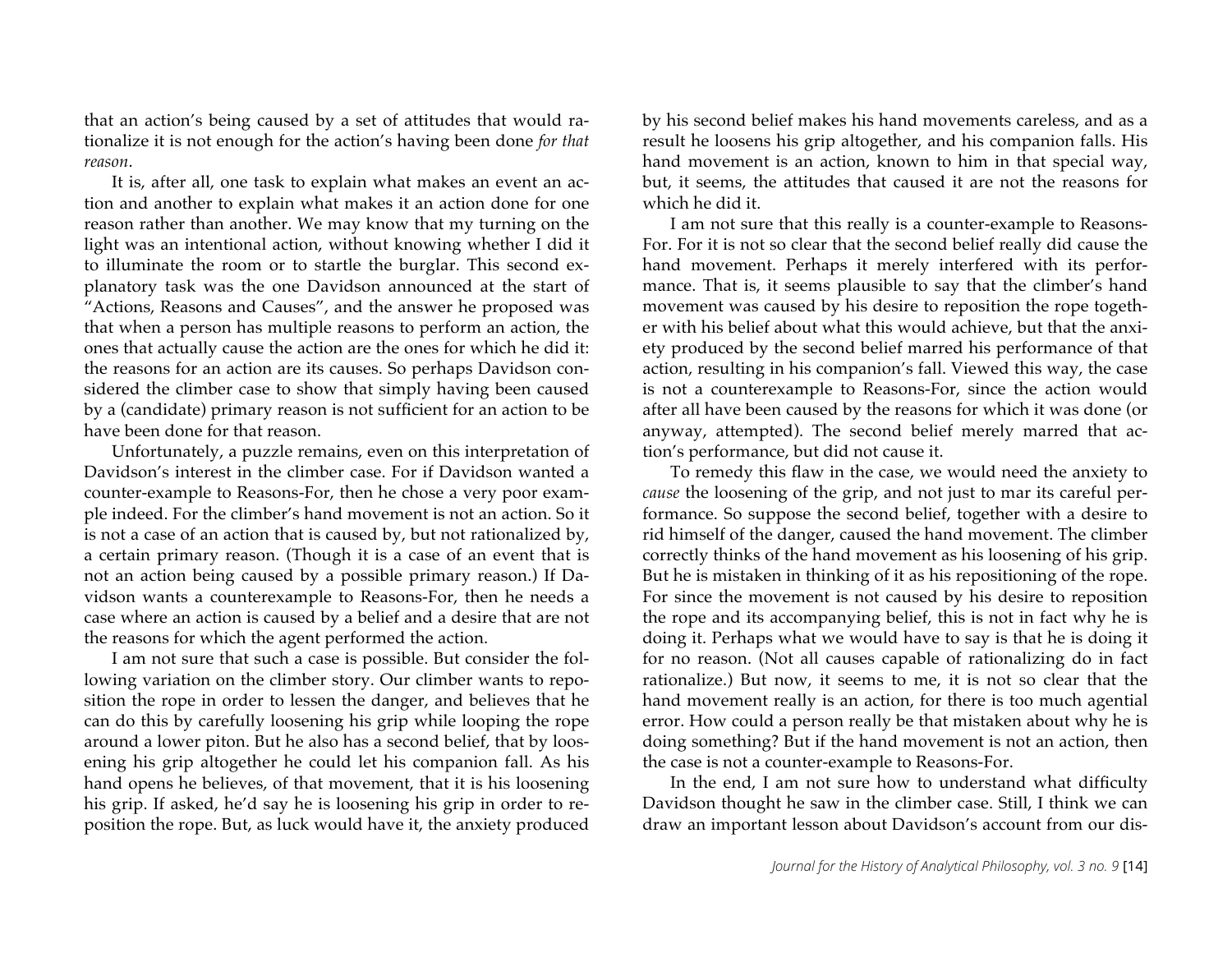that an action's being caused by a set of attitudes that would rationalize it is not enough for the action's having been done *for that reason*.

It is, after all, one task to explain what makes an event an action and another to explain what makes it an action done for one reason rather than another. We may know that my turning on the light was an intentional action, without knowing whether I did it to illuminate the room or to startle the burglar. This second explanatory task was the one Davidson announced at the start of "Actions, Reasons and Causes", and the answer he proposed was that when a person has multiple reasons to perform an action, the ones that actually cause the action are the ones for which he did it: the reasons for an action are its causes. So perhaps Davidson considered the climber case to show that simply having been caused by a (candidate) primary reason is not sufficient for an action to be have been done for that reason.

Unfortunately, a puzzle remains, even on this interpretation of Davidson's interest in the climber case. For if Davidson wanted a counter-example to Reasons-For, then he chose a very poor example indeed. For the climber's hand movement is not an action. So it is not a case of an action that is caused by, but not rationalized by, a certain primary reason. (Though it is a case of an event that is not an action being caused by a possible primary reason.) If Davidson wants a counterexample to Reasons-For, then he needs a case where an action is caused by a belief and a desire that are not the reasons for which the agent performed the action.

I am not sure that such a case is possible. But consider the following variation on the climber story. Our climber wants to reposition the rope in order to lessen the danger, and believes that he can do this by carefully loosening his grip while looping the rope around a lower piton. But he also has a second belief, that by loosening his grip altogether he could let his companion fall. As his hand opens he believes, of that movement, that it is his loosening his grip. If asked, he'd say he is loosening his grip in order to reposition the rope. But, as luck would have it, the anxiety produced

by his second belief makes his hand movements careless, and as a result he loosens his grip altogether, and his companion falls. His hand movement is an action, known to him in that special way, but, it seems, the attitudes that caused it are not the reasons for which he did it.

I am not sure that this really is a counter-example to Reasons-For. For it is not so clear that the second belief really did cause the hand movement. Perhaps it merely interfered with its performance. That is, it seems plausible to say that the climber's hand movement was caused by his desire to reposition the rope together with his belief about what this would achieve, but that the anxiety produced by the second belief marred his performance of that action, resulting in his companion's fall. Viewed this way, the case is not a counterexample to Reasons-For, since the action would after all have been caused by the reasons for which it was done (or anyway, attempted). The second belief merely marred that action's performance, but did not cause it.

To remedy this flaw in the case, we would need the anxiety to *cause* the loosening of the grip, and not just to mar its careful performance. So suppose the second belief, together with a desire to rid himself of the danger, caused the hand movement. The climber correctly thinks of the hand movement as his loosening of his grip. But he is mistaken in thinking of it as his repositioning of the rope. For since the movement is not caused by his desire to reposition the rope and its accompanying belief, this is not in fact why he is doing it. Perhaps what we would have to say is that he is doing it for no reason. (Not all causes capable of rationalizing do in fact rationalize.) But now, it seems to me, it is not so clear that the hand movement really is an action, for there is too much agential error. How could a person really be that mistaken about why he is doing something? But if the hand movement is not an action, then the case is not a counter-example to Reasons-For.

In the end, I am not sure how to understand what difficulty Davidson thought he saw in the climber case. Still, I think we can draw an important lesson about Davidson's account from our dis-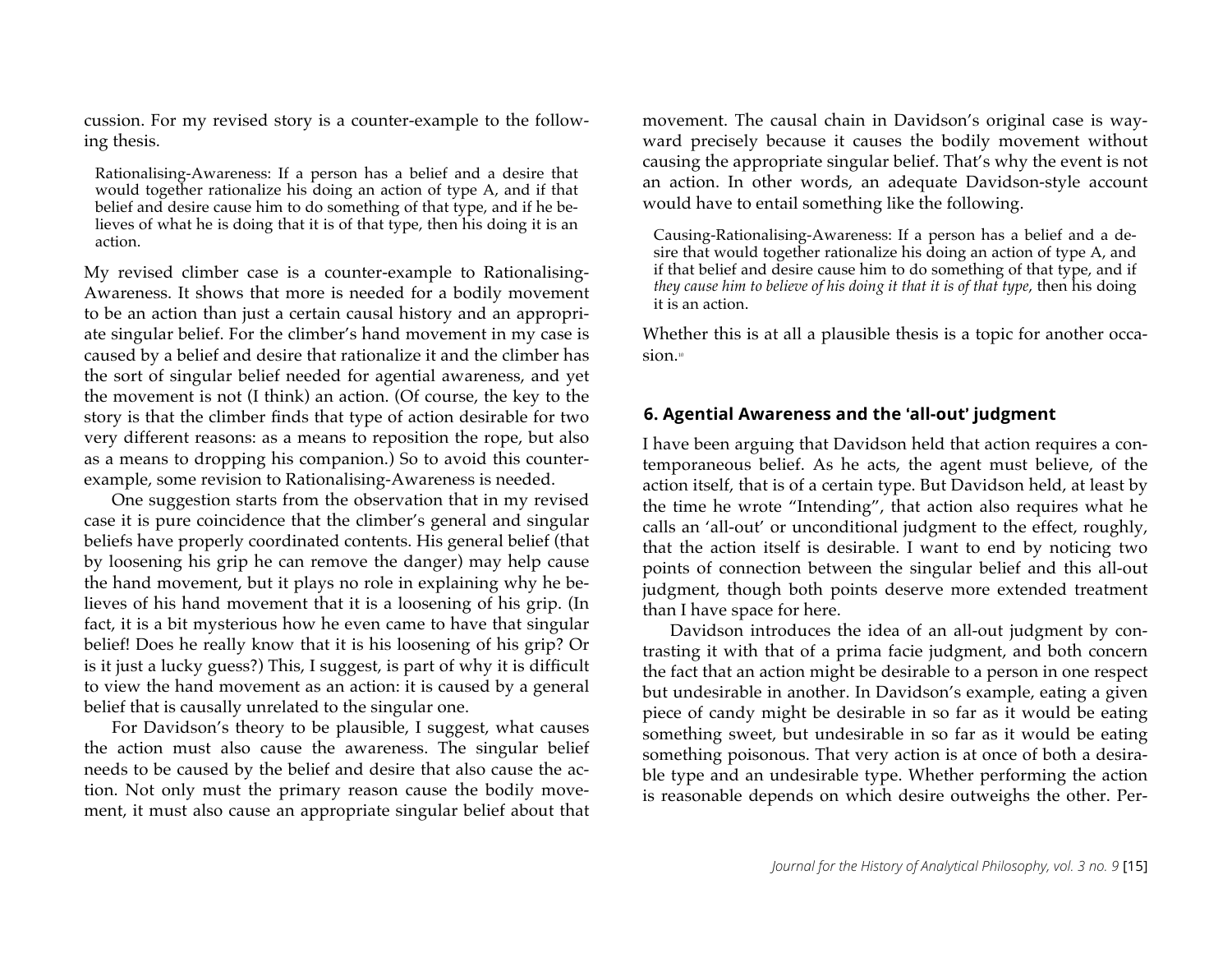cussion. For my revised story is a counter-example to the following thesis.

Rationalising-Awareness: If a person has a belief and a desire that would together rationalize his doing an action of type A, and if that belief and desire cause him to do something of that type, and if he believes of what he is doing that it is of that type, then his doing it is an action.

My revised climber case is a counter-example to Rationalising-Awareness. It shows that more is needed for a bodily movement to be an action than just a certain causal history and an appropriate singular belief. For the climber's hand movement in my case is caused by a belief and desire that rationalize it and the climber has the sort of singular belief needed for agential awareness, and yet the movement is not (I think) an action. (Of course, the key to the story is that the climber finds that type of action desirable for two very different reasons: as a means to reposition the rope, but also as a means to dropping his companion.) So to avoid this counterexample, some revision to Rationalising-Awareness is needed.

One suggestion starts from the observation that in my revised case it is pure coincidence that the climber's general and singular beliefs have properly coordinated contents. His general belief (that by loosening his grip he can remove the danger) may help cause the hand movement, but it plays no role in explaining why he believes of his hand movement that it is a loosening of his grip. (In fact, it is a bit mysterious how he even came to have that singular belief! Does he really know that it is his loosening of his grip? Or is it just a lucky guess?) This, I suggest, is part of why it is difficult to view the hand movement as an action: it is caused by a general belief that is causally unrelated to the singular one.

For Davidson's theory to be plausible, I suggest, what causes the action must also cause the awareness. The singular belief needs to be caused by the belief and desire that also cause the action. Not only must the primary reason cause the bodily movement, it must also cause an appropriate singular belief about that movement. The causal chain in Davidson's original case is wayward precisely because it causes the bodily movement without causing the appropriate singular belief. That's why the event is not an action. In other words, an adequate Davidson-style account would have to entail something like the following.

Causing-Rationalising-Awareness: If a person has a belief and a desire that would together rationalize his doing an action of type A, and if that belief and desire cause him to do something of that type, and if *they cause him to believe of his doing it that it is of that type*, then his doing it is an action.

Whether this is at all a plausible thesis is a topic for another occasion.<sup>10</sup>

## **6. Agential Awareness and the all-out**- **judgment**

I have been arguing that Davidson held that action requires a contemporaneous belief. As he acts, the agent must believe, of the action itself, that is of a certain type. But Davidson held, at least by the time he wrote "Intending", that action also requires what he calls an 'all-out' or unconditional judgment to the effect, roughly, that the action itself is desirable. I want to end by noticing two points of connection between the singular belief and this all-out judgment, though both points deserve more extended treatment than I have space for here.

Davidson introduces the idea of an all-out judgment by contrasting it with that of a prima facie judgment, and both concern the fact that an action might be desirable to a person in one respect but undesirable in another. In Davidson's example, eating a given piece of candy might be desirable in so far as it would be eating something sweet, but undesirable in so far as it would be eating something poisonous. That very action is at once of both a desirable type and an undesirable type. Whether performing the action is reasonable depends on which desire outweighs the other. Per-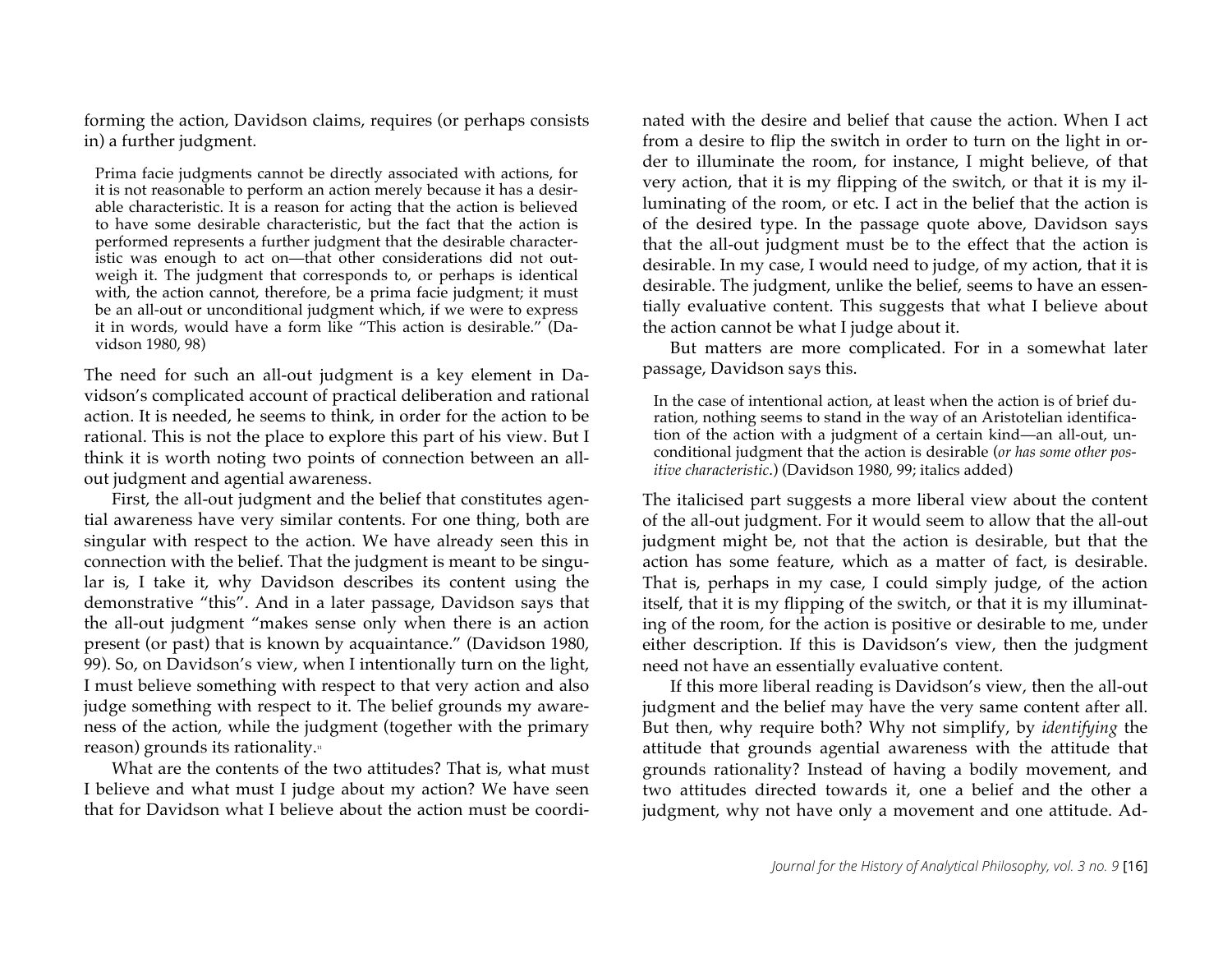forming the action, Davidson claims, requires (or perhaps consists in) a further judgment.

Prima facie judgments cannot be directly associated with actions, for it is not reasonable to perform an action merely because it has a desirable characteristic. It is a reason for acting that the action is believed to have some desirable characteristic, but the fact that the action is performed represents a further judgment that the desirable characteristic was enough to act on—that other considerations did not outweigh it. The judgment that corresponds to, or perhaps is identical with, the action cannot, therefore, be a prima facie judgment; it must be an all-out or unconditional judgment which, if we were to express it in words, would have a form like "This action is desirable." (Davidson 1980, 98)

The need for such an all-out judgment is a key element in Davidson's complicated account of practical deliberation and rational action. It is needed, he seems to think, in order for the action to be rational. This is not the place to explore this part of his view. But I think it is worth noting two points of connection between an allout judgment and agential awareness.

First, the all-out judgment and the belief that constitutes agential awareness have very similar contents. For one thing, both are singular with respect to the action. We have already seen this in connection with the belief. That the judgment is meant to be singular is, I take it, why Davidson describes its content using the demonstrative "this". And in a later passage, Davidson says that the all-out judgment "makes sense only when there is an action present (or past) that is known by acquaintance." (Davidson 1980, 99). So, on Davidson's view, when I intentionally turn on the light, I must believe something with respect to that very action and also judge something with respect to it. The belief grounds my awareness of the action, while the judgment (together with the primary reason) grounds its rationality. $\mathbb{I}$ 

What are the contents of the two attitudes? That is, what must I believe and what must I judge about my action? We have seen that for Davidson what I believe about the action must be coordinated with the desire and belief that cause the action. When I act from a desire to flip the switch in order to turn on the light in order to illuminate the room, for instance, I might believe, of that very action, that it is my flipping of the switch, or that it is my illuminating of the room, or etc. I act in the belief that the action is of the desired type. In the passage quote above, Davidson says that the all-out judgment must be to the effect that the action is desirable. In my case, I would need to judge, of my action, that it is desirable. The judgment, unlike the belief, seems to have an essentially evaluative content. This suggests that what I believe about the action cannot be what I judge about it.

But matters are more complicated. For in a somewhat later passage, Davidson says this.

In the case of intentional action, at least when the action is of brief duration, nothing seems to stand in the way of an Aristotelian identification of the action with a judgment of a certain kind—an all-out, unconditional judgment that the action is desirable (*or has some other positive characteristic*.) (Davidson 1980, 99; italics added)

The italicised part suggests a more liberal view about the content of the all-out judgment. For it would seem to allow that the all-out judgment might be, not that the action is desirable, but that the action has some feature, which as a matter of fact, is desirable. That is, perhaps in my case, I could simply judge, of the action itself, that it is my flipping of the switch, or that it is my illuminating of the room, for the action is positive or desirable to me, under either description. If this is Davidson's view, then the judgment need not have an essentially evaluative content.

If this more liberal reading is Davidson's view, then the all-out judgment and the belief may have the very same content after all. But then, why require both? Why not simplify, by *identifying* the attitude that grounds agential awareness with the attitude that grounds rationality? Instead of having a bodily movement, and two attitudes directed towards it, one a belief and the other a judgment, why not have only a movement and one attitude. Ad-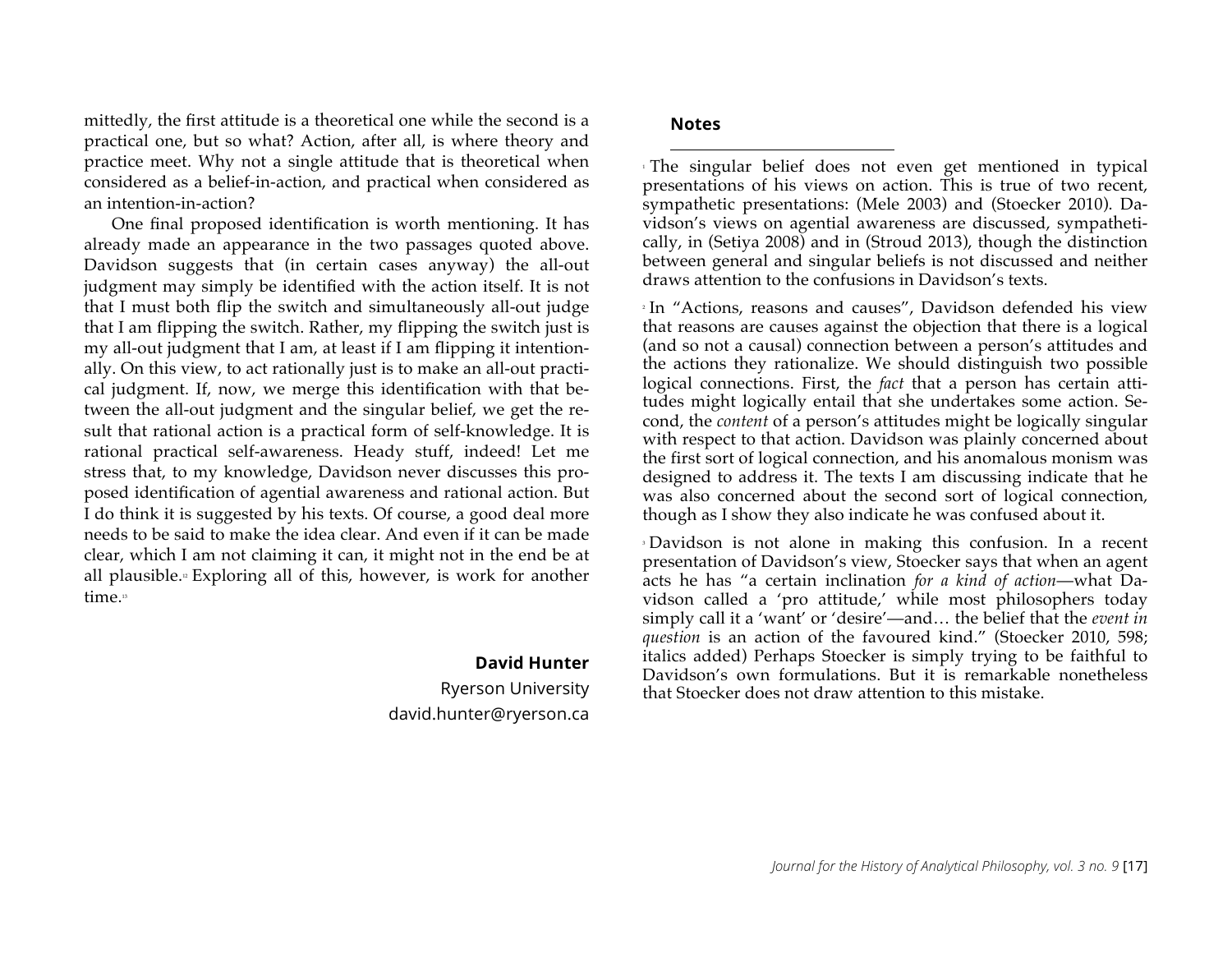mittedly, the first attitude is a theoretical one while the second is a practical one, but so what? Action, after all, is where theory and practice meet. Why not a single attitude that is theoretical when considered as a belief-in-action, and practical when considered as an intention-in-action?

One final proposed identification is worth mentioning. It has already made an appearance in the two passages quoted above. Davidson suggests that (in certain cases anyway) the all-out judgment may simply be identified with the action itself. It is not that I must both flip the switch and simultaneously all-out judge that I am flipping the switch. Rather, my flipping the switch just is my all-out judgment that I am, at least if I am flipping it intentionally. On this view, to act rationally just is to make an all-out practical judgment. If, now, we merge this identification with that between the all-out judgment and the singular belief, we get the result that rational action is a practical form of self-knowledge. It is rational practical self-awareness. Heady stuff, indeed! Let me stress that, to my knowledge, Davidson never discusses this proposed identification of agential awareness and rational action. But I do think it is suggested by his texts. Of course, a good deal more needs to be said to make the idea clear. And even if it can be made clear, which I am not claiming it can, it might not in the end be at all plausible.<sup>12</sup> Exploring all of this, however, is work for another time.<sup>13</sup>

#### **David Hunter**

Ryerson University david.hunter@ryerson.ca

#### **Notes**

 $\overline{a}$ 

<sup>1</sup> The singular belief does not even get mentioned in typical presentations of his views on action. This is true of two recent, sympathetic presentations: (Mele 2003) and (Stoecker 2010). Davidson's views on agential awareness are discussed, sympathetically, in (Setiya 2008) and in (Stroud 2013), though the distinction between general and singular beliefs is not discussed and neither draws attention to the confusions in Davidson's texts.

<sup>2</sup> In "Actions, reasons and causes", Davidson defended his view that reasons are causes against the objection that there is a logical (and so not a causal) connection between a person's attitudes and the actions they rationalize. We should distinguish two possible logical connections. First, the *fact* that a person has certain attitudes might logically entail that she undertakes some action. Second, the *content* of a person's attitudes might be logically singular with respect to that action. Davidson was plainly concerned about the first sort of logical connection, and his anomalous monism was designed to address it. The texts I am discussing indicate that he was also concerned about the second sort of logical connection, though as I show they also indicate he was confused about it.

<sup>3</sup> Davidson is not alone in making this confusion. In a recent presentation of Davidson's view, Stoecker says that when an agent acts he has "a certain inclination *for a kind of action*—what Davidson called a 'pro attitude,' while most philosophers today simply call it a 'want' or 'desire'—and… the belief that the *event in question* is an action of the favoured kind." (Stoecker 2010, 598; italics added) Perhaps Stoecker is simply trying to be faithful to Davidson's own formulations. But it is remarkable nonetheless that Stoecker does not draw attention to this mistake.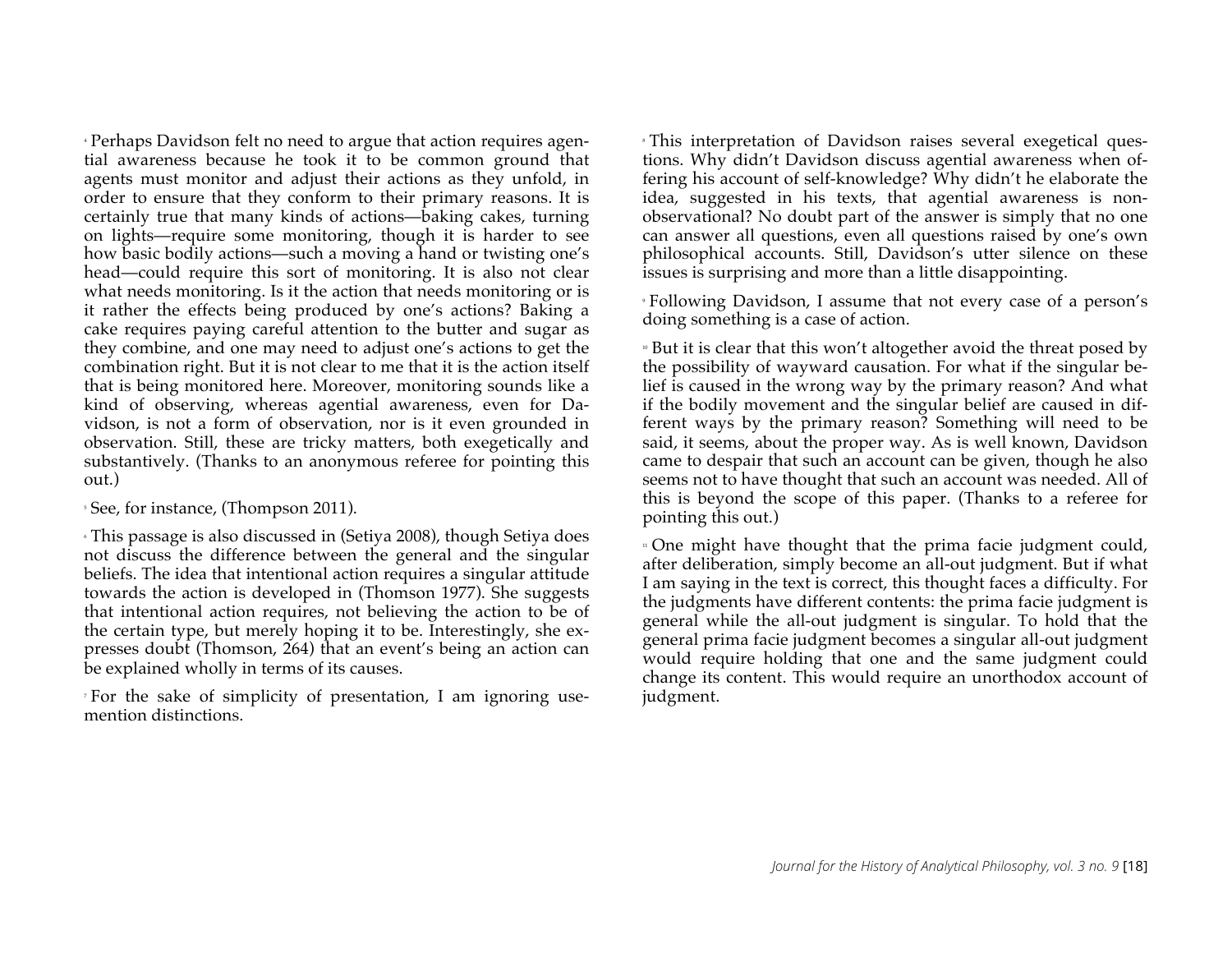<sup>4</sup> Perhaps Davidson felt no need to argue that action requires agential awareness because he took it to be common ground that agents must monitor and adjust their actions as they unfold, in order to ensure that they conform to their primary reasons. It is certainly true that many kinds of actions—baking cakes, turning on lights—require some monitoring, though it is harder to see how basic bodily actions—such a moving a hand or twisting one's head—could require this sort of monitoring. It is also not clear what needs monitoring. Is it the action that needs monitoring or is it rather the effects being produced by one's actions? Baking a cake requires paying careful attention to the butter and sugar as they combine, and one may need to adjust one's actions to get the combination right. But it is not clear to me that it is the action itself that is being monitored here. Moreover, monitoring sounds like a kind of observing, whereas agential awareness, even for Davidson, is not a form of observation, nor is it even grounded in observation. Still, these are tricky matters, both exegetically and substantively. (Thanks to an anonymous referee for pointing this out.)

<sup>5</sup> See, for instance, (Thompson 2011).

<sup>6</sup> This passage is also discussed in (Setiya 2008), though Setiya does not discuss the difference between the general and the singular beliefs. The idea that intentional action requires a singular attitude towards the action is developed in (Thomson 1977). She suggests that intentional action requires, not believing the action to be of the certain type, but merely hoping it to be. Interestingly, she expresses doubt (Thomson, 264) that an event's being an action can be explained wholly in terms of its causes.

<sup>7</sup> For the sake of simplicity of presentation, I am ignoring usemention distinctions.

<sup>8</sup> This interpretation of Davidson raises several exegetical questions. Why didn't Davidson discuss agential awareness when offering his account of self-knowledge? Why didn't he elaborate the idea, suggested in his texts, that agential awareness is nonobservational? No doubt part of the answer is simply that no one can answer all questions, even all questions raised by one's own philosophical accounts. Still, Davidson's utter silence on these issues is surprising and more than a little disappointing.

<sup>9</sup> Following Davidson, I assume that not every case of a person's doing something is a case of action.

■ But it is clear that this won't altogether avoid the threat posed by the possibility of wayward causation. For what if the singular belief is caused in the wrong way by the primary reason? And what if the bodily movement and the singular belief are caused in different ways by the primary reason? Something will need to be said, it seems, about the proper way. As is well known, Davidson came to despair that such an account can be given, though he also seems not to have thought that such an account was needed. All of this is beyond the scope of this paper. (Thanks to a referee for pointing this out.)

<sup>11</sup> One might have thought that the prima facie judgment could, after deliberation, simply become an all-out judgment. But if what I am saying in the text is correct, this thought faces a difficulty. For the judgments have different contents: the prima facie judgment is general while the all-out judgment is singular. To hold that the general prima facie judgment becomes a singular all-out judgment would require holding that one and the same judgment could change its content. This would require an unorthodox account of judgment.